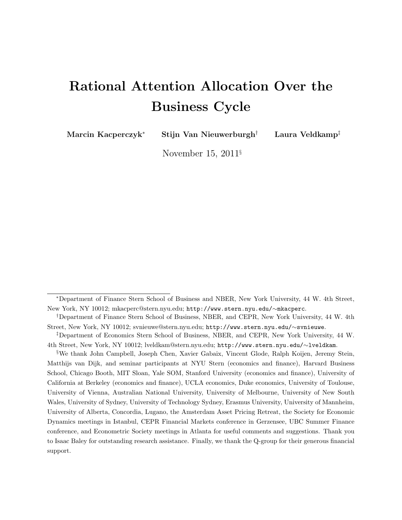# **Rational Attention Allocation Over the Business Cycle**

**Marcin Kacperczyk***<sup>∗</sup>* **Stijn Van Nieuwerburgh***†* **Laura Veldkamp***‡*

November 15, 2011*§*

*<sup>∗</sup>*Department of Finance Stern School of Business and NBER, New York University, 44 W. 4th Street, New York, NY 10012; mkacperc@stern.nyu.edu; http://www.stern.nyu.edu/*∼*mkacperc.

*†*Department of Finance Stern School of Business, NBER, and CEPR, New York University, 44 W. 4th Street, New York, NY 10012; svnieuwe@stern.nyu.edu; http://www.stern.nyu.edu/*∼*svnieuwe.

*‡*Department of Economics Stern School of Business, NBER, and CEPR, New York University, 44 W. 4th Street, New York, NY 10012; lveldkam@stern.nyu.edu; http://www.stern.nyu.edu/*∼*lveldkam.

*§*We thank John Campbell, Joseph Chen, Xavier Gabaix, Vincent Glode, Ralph Koijen, Jeremy Stein, Matthijs van Dijk, and seminar participants at NYU Stern (economics and finance), Harvard Business School, Chicago Booth, MIT Sloan, Yale SOM, Stanford University (economics and finance), University of California at Berkeley (economics and finance), UCLA economics, Duke economics, University of Toulouse, University of Vienna, Australian National University, University of Melbourne, University of New South Wales, University of Sydney, University of Technology Sydney, Erasmus University, University of Mannheim, University of Alberta, Concordia, Lugano, the Amsterdam Asset Pricing Retreat, the Society for Economic Dynamics meetings in Istanbul, CEPR Financial Markets conference in Gerzensee, UBC Summer Finance conference, and Econometric Society meetings in Atlanta for useful comments and suggestions. Thank you to Isaac Baley for outstanding research assistance. Finally, we thank the Q-group for their generous financial support.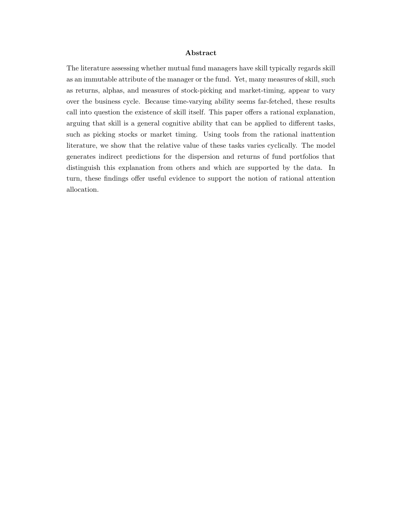#### **Abstract**

The literature assessing whether mutual fund managers have skill typically regards skill as an immutable attribute of the manager or the fund. Yet, many measures of skill, such as returns, alphas, and measures of stock-picking and market-timing, appear to vary over the business cycle. Because time-varying ability seems far-fetched, these results call into question the existence of skill itself. This paper offers a rational explanation, arguing that skill is a general cognitive ability that can be applied to different tasks, such as picking stocks or market timing. Using tools from the rational inattention literature, we show that the relative value of these tasks varies cyclically. The model generates indirect predictions for the dispersion and returns of fund portfolios that distinguish this explanation from others and which are supported by the data. In turn, these findings offer useful evidence to support the notion of rational attention allocation.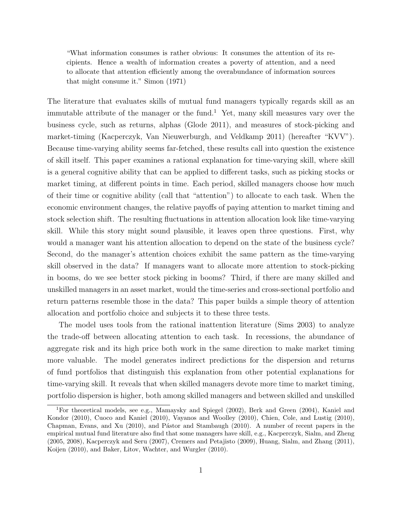"What information consumes is rather obvious: It consumes the attention of its recipients. Hence a wealth of information creates a poverty of attention, and a need to allocate that attention efficiently among the overabundance of information sources that might consume it." Simon (1971)

The literature that evaluates skills of mutual fund managers typically regards skill as an immutable attribute of the manager or the fund.<sup>1</sup> Yet, many skill measures vary over the business cycle, such as returns, alphas (Glode 2011), and measures of stock-picking and market-timing (Kacperczyk, Van Nieuwerburgh, and Veldkamp 2011) (hereafter "KVV"). Because time-varying ability seems far-fetched, these results call into question the existence of skill itself. This paper examines a rational explanation for time-varying skill, where skill is a general cognitive ability that can be applied to different tasks, such as picking stocks or market timing, at different points in time. Each period, skilled managers choose how much of their time or cognitive ability (call that "attention") to allocate to each task. When the economic environment changes, the relative payoffs of paying attention to market timing and stock selection shift. The resulting fluctuations in attention allocation look like time-varying skill. While this story might sound plausible, it leaves open three questions. First, why would a manager want his attention allocation to depend on the state of the business cycle? Second, do the manager's attention choices exhibit the same pattern as the time-varying skill observed in the data? If managers want to allocate more attention to stock-picking in booms, do we see better stock picking in booms? Third, if there are many skilled and unskilled managers in an asset market, would the time-series and cross-sectional portfolio and return patterns resemble those in the data? This paper builds a simple theory of attention allocation and portfolio choice and subjects it to these three tests.

The model uses tools from the rational inattention literature (Sims 2003) to analyze the trade-off between allocating attention to each task. In recessions, the abundance of aggregate risk and its high price both work in the same direction to make market timing more valuable. The model generates indirect predictions for the dispersion and returns of fund portfolios that distinguish this explanation from other potential explanations for time-varying skill. It reveals that when skilled managers devote more time to market timing, portfolio dispersion is higher, both among skilled managers and between skilled and unskilled

<sup>1</sup>For theoretical models, see e.g., Mamaysky and Spiegel (2002), Berk and Green (2004), Kaniel and Kondor (2010), Cuoco and Kaniel (2010), Vayanos and Woolley (2010), Chien, Cole, and Lustig (2010), Chapman, Evans, and Xu (2010), and Pástor and Stambaugh (2010). A number of recent papers in the empirical mutual fund literature also find that some managers have skill, e.g., Kacperczyk, Sialm, and Zheng (2005, 2008), Kacperczyk and Seru (2007), Cremers and Petajisto (2009), Huang, Sialm, and Zhang (2011), Koijen (2010), and Baker, Litov, Wachter, and Wurgler (2010).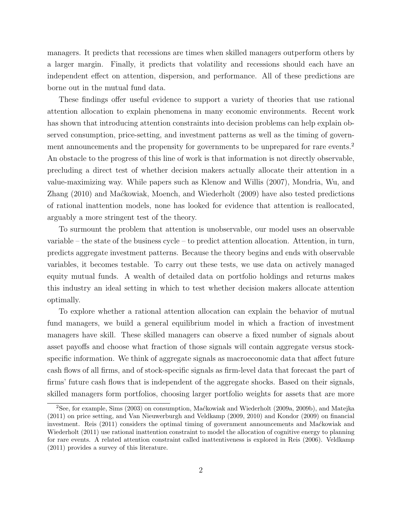managers. It predicts that recessions are times when skilled managers outperform others by a larger margin. Finally, it predicts that volatility and recessions should each have an independent effect on attention, dispersion, and performance. All of these predictions are borne out in the mutual fund data.

These findings offer useful evidence to support a variety of theories that use rational attention allocation to explain phenomena in many economic environments. Recent work has shown that introducing attention constraints into decision problems can help explain observed consumption, price-setting, and investment patterns as well as the timing of government announcements and the propensity for governments to be unprepared for rare events.<sup>2</sup> An obstacle to the progress of this line of work is that information is not directly observable, precluding a direct test of whether decision makers actually allocate their attention in a value-maximizing way. While papers such as Klenow and Willis (2007), Mondria, Wu, and Zhang (2010) and Mackowiak, Moench, and Wiederholt (2009) have also tested predictions of rational inattention models, none has looked for evidence that attention is reallocated, arguably a more stringent test of the theory.

To surmount the problem that attention is unobservable, our model uses an observable variable – the state of the business cycle – to predict attention allocation. Attention, in turn, predicts aggregate investment patterns. Because the theory begins and ends with observable variables, it becomes testable. To carry out these tests, we use data on actively managed equity mutual funds. A wealth of detailed data on portfolio holdings and returns makes this industry an ideal setting in which to test whether decision makers allocate attention optimally.

To explore whether a rational attention allocation can explain the behavior of mutual fund managers, we build a general equilibrium model in which a fraction of investment managers have skill. These skilled managers can observe a fixed number of signals about asset payoffs and choose what fraction of those signals will contain aggregate versus stockspecific information. We think of aggregate signals as macroeconomic data that affect future cash flows of all firms, and of stock-specific signals as firm-level data that forecast the part of firms' future cash flows that is independent of the aggregate shocks. Based on their signals, skilled managers form portfolios, choosing larger portfolio weights for assets that are more

<sup>2</sup>See, for example, Sims (2003) on consumption, Ma´ckowiak and Wiederholt (2009a, 2009b), and Matejka (2011) on price setting, and Van Nieuwerburgh and Veldkamp (2009, 2010) and Kondor (2009) on financial investment. Reis (2011) considers the optimal timing of government announcements and Mackowiak and Wiederholt (2011) use rational inattention constraint to model the allocation of cognitive energy to planning for rare events. A related attention constraint called inattentiveness is explored in Reis (2006). Veldkamp (2011) provides a survey of this literature.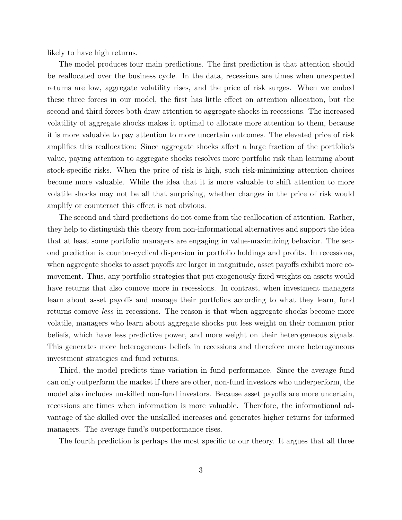likely to have high returns.

The model produces four main predictions. The first prediction is that attention should be reallocated over the business cycle. In the data, recessions are times when unexpected returns are low, aggregate volatility rises, and the price of risk surges. When we embed these three forces in our model, the first has little effect on attention allocation, but the second and third forces both draw attention to aggregate shocks in recessions. The increased volatility of aggregate shocks makes it optimal to allocate more attention to them, because it is more valuable to pay attention to more uncertain outcomes. The elevated price of risk amplifies this reallocation: Since aggregate shocks affect a large fraction of the portfolio's value, paying attention to aggregate shocks resolves more portfolio risk than learning about stock-specific risks. When the price of risk is high, such risk-minimizing attention choices become more valuable. While the idea that it is more valuable to shift attention to more volatile shocks may not be all that surprising, whether changes in the price of risk would amplify or counteract this effect is not obvious.

The second and third predictions do not come from the reallocation of attention. Rather, they help to distinguish this theory from non-informational alternatives and support the idea that at least some portfolio managers are engaging in value-maximizing behavior. The second prediction is counter-cyclical dispersion in portfolio holdings and profits. In recessions, when aggregate shocks to asset payoffs are larger in magnitude, asset payoffs exhibit more comovement. Thus, any portfolio strategies that put exogenously fixed weights on assets would have returns that also comove more in recessions. In contrast, when investment managers learn about asset payoffs and manage their portfolios according to what they learn, fund returns comove *less* in recessions. The reason is that when aggregate shocks become more volatile, managers who learn about aggregate shocks put less weight on their common prior beliefs, which have less predictive power, and more weight on their heterogeneous signals. This generates more heterogeneous beliefs in recessions and therefore more heterogeneous investment strategies and fund returns.

Third, the model predicts time variation in fund performance. Since the average fund can only outperform the market if there are other, non-fund investors who underperform, the model also includes unskilled non-fund investors. Because asset payoffs are more uncertain, recessions are times when information is more valuable. Therefore, the informational advantage of the skilled over the unskilled increases and generates higher returns for informed managers. The average fund's outperformance rises.

The fourth prediction is perhaps the most specific to our theory. It argues that all three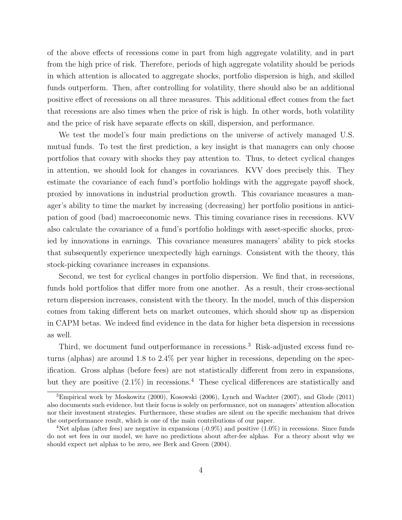of the above effects of recessions come in part from high aggregate volatility, and in part from the high price of risk. Therefore, periods of high aggregate volatility should be periods in which attention is allocated to aggregate shocks, portfolio dispersion is high, and skilled funds outperform. Then, after controlling for volatility, there should also be an additional positive effect of recessions on all three measures. This additional effect comes from the fact that recessions are also times when the price of risk is high. In other words, both volatility and the price of risk have separate effects on skill, dispersion, and performance.

We test the model's four main predictions on the universe of actively managed U.S. mutual funds. To test the first prediction, a key insight is that managers can only choose portfolios that covary with shocks they pay attention to. Thus, to detect cyclical changes in attention, we should look for changes in covariances. KVV does precisely this. They estimate the covariance of each fund's portfolio holdings with the aggregate payoff shock, proxied by innovations in industrial production growth. This covariance measures a manager's ability to time the market by increasing (decreasing) her portfolio positions in anticipation of good (bad) macroeconomic news. This timing covariance rises in recessions. KVV also calculate the covariance of a fund's portfolio holdings with asset-specific shocks, proxied by innovations in earnings. This covariance measures managers' ability to pick stocks that subsequently experience unexpectedly high earnings. Consistent with the theory, this stock-picking covariance increases in expansions.

Second, we test for cyclical changes in portfolio dispersion. We find that, in recessions, funds hold portfolios that differ more from one another. As a result, their cross-sectional return dispersion increases, consistent with the theory. In the model, much of this dispersion comes from taking different bets on market outcomes, which should show up as dispersion in CAPM betas. We indeed find evidence in the data for higher beta dispersion in recessions as well.

Third, we document fund outperformance in recessions.<sup>3</sup> Risk-adjusted excess fund returns (alphas) are around 1.8 to 2.4% per year higher in recessions, depending on the specification. Gross alphas (before fees) are not statistically different from zero in expansions, but they are positive  $(2.1\%)$  in recessions.<sup>4</sup> These cyclical differences are statistically and

<sup>3</sup>Empirical work by Moskowitz (2000), Kosowski (2006), Lynch and Wachter (2007), and Glode (2011) also documents such evidence, but their focus is solely on performance, not on managers' attention allocation nor their investment strategies. Furthermore, these studies are silent on the specific mechanism that drives the outperformance result, which is one of the main contributions of our paper.

<sup>&</sup>lt;sup>4</sup>Net alphas (after fees) are negative in expansions  $(-0.9\%)$  and positive  $(1.0\%)$  in recessions. Since funds do not set fees in our model, we have no predictions about after-fee alphas. For a theory about why we should expect net alphas to be zero, see Berk and Green (2004).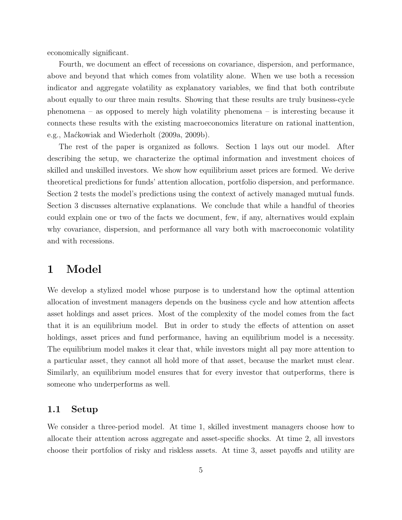economically significant.

Fourth, we document an effect of recessions on covariance, dispersion, and performance, above and beyond that which comes from volatility alone. When we use both a recession indicator and aggregate volatility as explanatory variables, we find that both contribute about equally to our three main results. Showing that these results are truly business-cycle phenomena – as opposed to merely high volatility phenomena – is interesting because it connects these results with the existing macroeconomics literature on rational inattention, e.g., Maćkowiak and Wiederholt (2009a, 2009b).

The rest of the paper is organized as follows. Section 1 lays out our model. After describing the setup, we characterize the optimal information and investment choices of skilled and unskilled investors. We show how equilibrium asset prices are formed. We derive theoretical predictions for funds' attention allocation, portfolio dispersion, and performance. Section 2 tests the model's predictions using the context of actively managed mutual funds. Section 3 discusses alternative explanations. We conclude that while a handful of theories could explain one or two of the facts we document, few, if any, alternatives would explain why covariance, dispersion, and performance all vary both with macroeconomic volatility and with recessions.

# **1 Model**

We develop a stylized model whose purpose is to understand how the optimal attention allocation of investment managers depends on the business cycle and how attention affects asset holdings and asset prices. Most of the complexity of the model comes from the fact that it is an equilibrium model. But in order to study the effects of attention on asset holdings, asset prices and fund performance, having an equilibrium model is a necessity. The equilibrium model makes it clear that, while investors might all pay more attention to a particular asset, they cannot all hold more of that asset, because the market must clear. Similarly, an equilibrium model ensures that for every investor that outperforms, there is someone who underperforms as well.

#### **1.1 Setup**

We consider a three-period model. At time 1, skilled investment managers choose how to allocate their attention across aggregate and asset-specific shocks. At time 2, all investors choose their portfolios of risky and riskless assets. At time 3, asset payoffs and utility are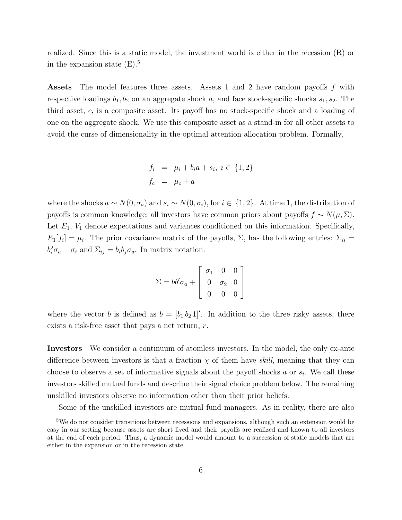realized. Since this is a static model, the investment world is either in the recession (R) or in the expansion state  $(E)$ .<sup>5</sup>

**Assets** The model features three assets. Assets 1 and 2 have random payoffs *f* with respective loadings  $b_1, b_2$  on an aggregate shock a, and face stock-specific shocks  $s_1, s_2$ . The third asset, *c*, is a composite asset. Its payoff has no stock-specific shock and a loading of one on the aggregate shock. We use this composite asset as a stand-in for all other assets to avoid the curse of dimensionality in the optimal attention allocation problem. Formally,

$$
f_i = \mu_i + b_i a + s_i, \ i \in \{1, 2\}
$$

$$
f_c = \mu_c + a
$$

where the shocks  $a \sim N(0, \sigma_a)$  and  $s_i \sim N(0, \sigma_i)$ , for  $i \in \{1, 2\}$ . At time 1, the distribution of payoffs is common knowledge; all investors have common priors about payoffs  $f \sim N(\mu, \Sigma)$ . Let  $E_1$ ,  $V_1$  denote expectations and variances conditioned on this information. Specifically,  $E_1[f_i] = \mu_i$ . The prior covariance matrix of the payoffs,  $\Sigma$ , has the following entries:  $\Sigma_{ii} =$  $b_i^2 \sigma_a + \sigma_i$  and  $\Sigma_{ij} = b_i b_j \sigma_a$ . In matrix notation:

$$
\Sigma = bb'\sigma_a + \left[\begin{array}{ccc} \sigma_1 & 0 & 0 \\ 0 & \sigma_2 & 0 \\ 0 & 0 & 0 \end{array}\right]
$$

where the vector *b* is defined as  $b = [b_1 b_2 1]'$ . In addition to the three risky assets, there exists a risk-free asset that pays a net return, *r*.

**Investors** We consider a continuum of atomless investors. In the model, the only ex-ante difference between investors is that a fraction  $\chi$  of them have *skill*, meaning that they can choose to observe a set of informative signals about the payoff shocks *a* or *s<sup>i</sup>* . We call these investors skilled mutual funds and describe their signal choice problem below. The remaining unskilled investors observe no information other than their prior beliefs.

Some of the unskilled investors are mutual fund managers. As in reality, there are also

<sup>5</sup>We do not consider transitions between recessions and expansions, although such an extension would be easy in our setting because assets are short lived and their payoffs are realized and known to all investors at the end of each period. Thus, a dynamic model would amount to a succession of static models that are either in the expansion or in the recession state.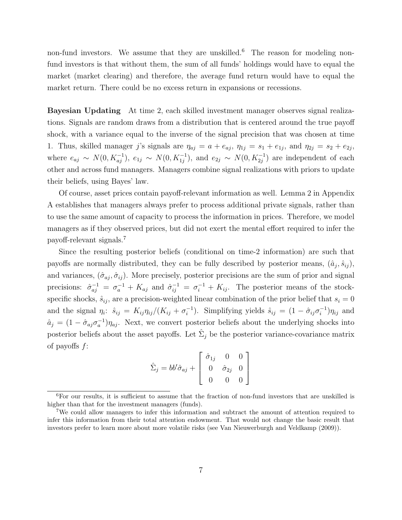non-fund investors. We assume that they are unskilled.<sup>6</sup> The reason for modeling nonfund investors is that without them, the sum of all funds' holdings would have to equal the market (market clearing) and therefore, the average fund return would have to equal the market return. There could be no excess return in expansions or recessions.

**Bayesian Updating** At time 2, each skilled investment manager observes signal realizations. Signals are random draws from a distribution that is centered around the true payoff shock, with a variance equal to the inverse of the signal precision that was chosen at time 1. Thus, skilled manager *j*'s signals are  $\eta_{aj} = a + e_{aj}, \eta_{1j} = s_1 + e_{1j},$  and  $\eta_{2j} = s_2 + e_{2j}$ where  $e_{aj} \sim N(0, K_{aj}^{-1}), e_{1j} \sim N(0, K_{1j}^{-1}),$  and  $e_{2j} \sim N(0, K_{2j}^{-1})$  are independent of each other and across fund managers. Managers combine signal realizations with priors to update their beliefs, using Bayes' law.

Of course, asset prices contain payoff-relevant information as well. Lemma 2 in Appendix A establishes that managers always prefer to process additional private signals, rather than to use the same amount of capacity to process the information in prices. Therefore, we model managers as if they observed prices, but did not exert the mental effort required to infer the payoff-relevant signals.<sup>7</sup>

Since the resulting posterior beliefs (conditional on time-2 information) are such that payoffs are normally distributed, they can be fully described by posterior means,  $(\hat{a}_j, \hat{s}_{ij})$ , and variances,  $(\hat{\sigma}_{ai}, \hat{\sigma}_{ij})$ . More precisely, posterior precisions are the sum of prior and signal precisions:  $\hat{\sigma}_{aj}^{-1} = \sigma_a^{-1} + K_{aj}$  and  $\hat{\sigma}_{ij}^{-1} = \sigma_i^{-1} + K_{ij}$ . The posterior means of the stockspecific shocks,  $\hat{s}_{ij}$ , are a precision-weighted linear combination of the prior belief that  $s_i = 0$ and the signal  $\eta_i$ :  $\hat{s}_{ij} = K_{ij} \eta_{ij}/(K_{ij} + \sigma_i^{-1})$ . Simplifying yields  $\hat{s}_{ij} = (1 - \hat{\sigma}_{ij} \sigma_i^{-1}) \eta_{ij}$  and  $\hat{a}_j = (1 - \hat{\sigma}_{aj}\sigma_a^{-1})\eta_{aj}$ . Next, we convert posterior beliefs about the underlying shocks into posterior beliefs about the asset payoffs. Let  $\hat{\Sigma}_j$  be the posterior variance-covariance matrix of payoffs *f*:

$$
\hat{\Sigma}_j = bb'\hat{\sigma}_{aj} + \begin{bmatrix} \hat{\sigma}_{1j} & 0 & 0 \\ 0 & \hat{\sigma}_{2j} & 0 \\ 0 & 0 & 0 \end{bmatrix}
$$

<sup>6</sup>For our results, it is sufficient to assume that the fraction of non-fund investors that are unskilled is higher than that for the investment managers (funds).

<sup>7</sup>We could allow managers to infer this information and subtract the amount of attention required to infer this information from their total attention endowment. That would not change the basic result that investors prefer to learn more about more volatile risks (see Van Nieuwerburgh and Veldkamp (2009)).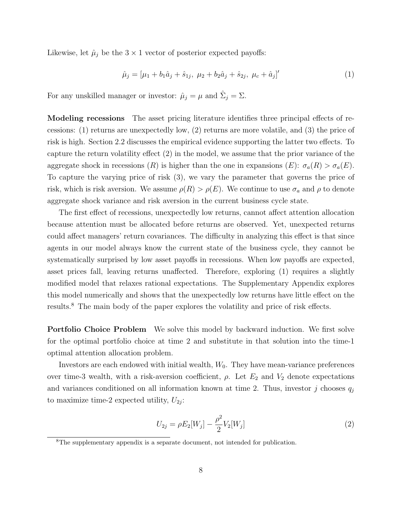Likewise, let  $\hat{\mu}_j$  be the  $3 \times 1$  vector of posterior expected payoffs:

$$
\hat{\mu}_j = [\mu_1 + b_1 \hat{a}_j + \hat{s}_{1j}, \ \mu_2 + b_2 \hat{a}_j + \hat{s}_{2j}, \ \mu_c + \hat{a}_j]'
$$
(1)

For any unskilled manager or investor:  $\hat{\mu}_j = \mu$  and  $\hat{\Sigma}_j = \Sigma$ .

**Modeling recessions** The asset pricing literature identifies three principal effects of recessions: (1) returns are unexpectedly low, (2) returns are more volatile, and (3) the price of risk is high. Section 2.2 discusses the empirical evidence supporting the latter two effects. To capture the return volatility effect (2) in the model, we assume that the prior variance of the aggregate shock in recessions  $(R)$  is higher than the one in expansions  $(E)$ :  $\sigma_a(R) > \sigma_a(E)$ . To capture the varying price of risk (3), we vary the parameter that governs the price of risk, which is risk aversion. We assume  $\rho(R) > \rho(E)$ . We continue to use  $\sigma_a$  and  $\rho$  to denote aggregate shock variance and risk aversion in the current business cycle state.

The first effect of recessions, unexpectedly low returns, cannot affect attention allocation because attention must be allocated before returns are observed. Yet, unexpected returns could affect managers' return covariances. The difficulty in analyzing this effect is that since agents in our model always know the current state of the business cycle, they cannot be systematically surprised by low asset payoffs in recessions. When low payoffs are expected, asset prices fall, leaving returns unaffected. Therefore, exploring (1) requires a slightly modified model that relaxes rational expectations. The Supplementary Appendix explores this model numerically and shows that the unexpectedly low returns have little effect on the results.<sup>8</sup> The main body of the paper explores the volatility and price of risk effects.

**Portfolio Choice Problem** We solve this model by backward induction. We first solve for the optimal portfolio choice at time 2 and substitute in that solution into the time-1 optimal attention allocation problem.

Investors are each endowed with initial wealth, *W*0. They have mean-variance preferences over time-3 wealth, with a risk-aversion coefficient,  $\rho$ . Let  $E_2$  and  $V_2$  denote expectations and variances conditioned on all information known at time 2. Thus, investor  $j$  chooses  $q_j$ to maximize time-2 expected utility,  $U_{2j}$ :

$$
U_{2j} = \rho E_2[W_j] - \frac{\rho^2}{2} V_2[W_j]
$$
\n(2)

<sup>&</sup>lt;sup>8</sup>The supplementary appendix is a separate document, not intended for publication.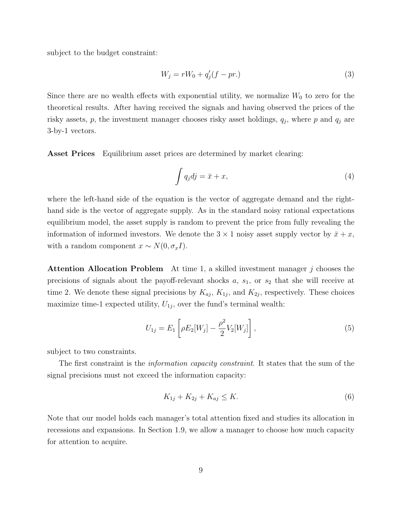subject to the budget constraint:

$$
W_j = rW_0 + q_j'(f - pr.)\tag{3}
$$

Since there are no wealth effects with exponential utility, we normalize  $W_0$  to zero for the theoretical results. After having received the signals and having observed the prices of the risky assets,  $p$ , the investment manager chooses risky asset holdings,  $q_j$ , where  $p$  and  $q_j$  are 3-by-1 vectors.

**Asset Prices** Equilibrium asset prices are determined by market clearing:

$$
\int q_j dj = \bar{x} + x,\tag{4}
$$

where the left-hand side of the equation is the vector of aggregate demand and the righthand side is the vector of aggregate supply. As in the standard noisy rational expectations equilibrium model, the asset supply is random to prevent the price from fully revealing the information of informed investors. We denote the  $3 \times 1$  noisy asset supply vector by  $\bar{x} + x$ , with a random component  $x \sim N(0, \sigma_x I)$ .

**Attention Allocation Problem** At time 1, a skilled investment manager *j* chooses the precisions of signals about the payoff-relevant shocks *a*, *s*1, or *s*<sup>2</sup> that she will receive at time 2. We denote these signal precisions by  $K_{aj}$ ,  $K_{1j}$ , and  $K_{2j}$ , respectively. These choices maximize time-1 expected utility,  $U_{1j}$ , over the fund's terminal wealth:

$$
U_{1j} = E_1 \left[ \rho E_2[W_j] - \frac{\rho^2}{2} V_2[W_j] \right],\tag{5}
$$

subject to two constraints.

The first constraint is the *information capacity constraint*. It states that the sum of the signal precisions must not exceed the information capacity:

$$
K_{1j} + K_{2j} + K_{aj} \le K.
$$
\n(6)

Note that our model holds each manager's total attention fixed and studies its allocation in recessions and expansions. In Section 1.9, we allow a manager to choose how much capacity for attention to acquire.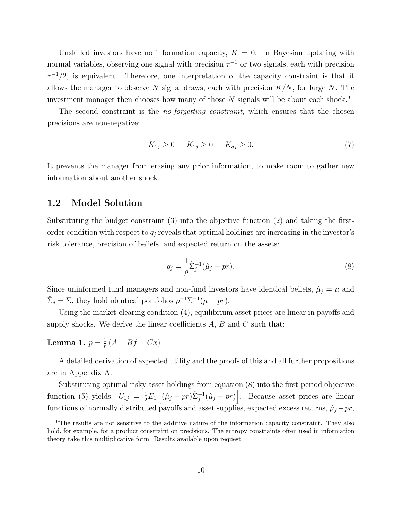Unskilled investors have no information capacity,  $K = 0$ . In Bayesian updating with normal variables, observing one signal with precision  $\tau^{-1}$  or two signals, each with precision  $\tau^{-1/2}$ , is equivalent. Therefore, one interpretation of the capacity constraint is that it allows the manager to observe *N* signal draws, each with precision *K/N*, for large *N*. The investment manager then chooses how many of those N signals will be about each shock.<sup>9</sup>

The second constraint is the *no-forgetting constraint*, which ensures that the chosen precisions are non-negative:

$$
K_{1j} \ge 0 \t K_{2j} \ge 0 \t K_{aj} \ge 0. \t(7)
$$

It prevents the manager from erasing any prior information, to make room to gather new information about another shock.

### **1.2 Model Solution**

Substituting the budget constraint (3) into the objective function (2) and taking the firstorder condition with respect to  $q_j$  reveals that optimal holdings are increasing in the investor's risk tolerance, precision of beliefs, and expected return on the assets:

$$
q_j = \frac{1}{\rho} \hat{\Sigma}_j^{-1} (\hat{\mu}_j - pr). \tag{8}
$$

Since uninformed fund managers and non-fund investors have identical beliefs,  $\hat{\mu}_j = \mu$  and  $\hat{\Sigma}_j = \Sigma$ , they hold identical portfolios  $\rho^{-1} \Sigma^{-1} (\mu - pr)$ .

Using the market-clearing condition (4), equilibrium asset prices are linear in payoffs and supply shocks. We derive the linear coefficients *A*, *B* and *C* such that:

**Lemma 1.**  $p = \frac{1}{r}$  $\frac{1}{r}(A + Bf + Cx)$ 

A detailed derivation of expected utility and the proofs of this and all further propositions are in Appendix A.

Substituting optimal risky asset holdings from equation (8) into the first-period objective function (5) yields:  $U_{1j} = \frac{1}{2}E_1 \left[ (\hat{\mu}_j - pr) \hat{\Sigma}_j^{-1} (\hat{\mu}_j - pr) \right]$ . Because asset prices are linear functions of normally distributed payoffs and asset supplies, expected excess returns,  $\hat{\mu}_j - pr$ ,

<sup>9</sup>The results are not sensitive to the additive nature of the information capacity constraint. They also hold, for example, for a product constraint on precisions. The entropy constraints often used in information theory take this multiplicative form. Results available upon request.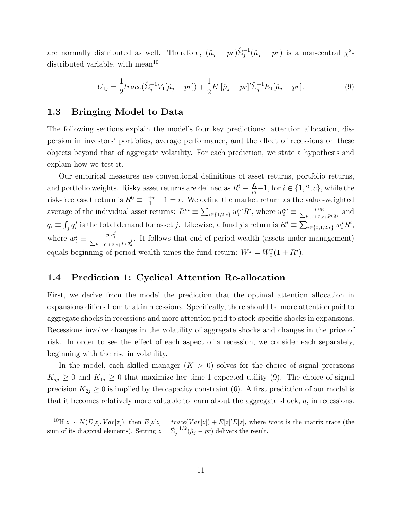are normally distributed as well. Therefore,  $(\hat{\mu}_j - pr)\hat{\Sigma}_j^{-1}(\hat{\mu}_j - pr)$  is a non-central  $\chi^2$ distributed variable, with mean<sup>10</sup>

$$
U_{1j} = \frac{1}{2}trace(\hat{\Sigma}_j^{-1}V_1[\hat{\mu}_j - pr]) + \frac{1}{2}E_1[\hat{\mu}_j - pr]'\hat{\Sigma}_j^{-1}E_1[\hat{\mu}_j - pr].
$$
\n(9)

### **1.3 Bringing Model to Data**

The following sections explain the model's four key predictions: attention allocation, dispersion in investors' portfolios, average performance, and the effect of recessions on these objects beyond that of aggregate volatility. For each prediction, we state a hypothesis and explain how we test it.

Our empirical measures use conventional definitions of asset returns, portfolio returns, and portfolio weights. Risky asset returns are defined as  $R^i \equiv \frac{f_i}{r_i}$  $\frac{f_i}{p_i}$ −1, for  $i \in \{1, 2, c\}$ , while the risk-free asset return is  $R^0 \equiv \frac{1+r}{1} - 1 = r$ . We define the market return as the value-weighted average of the individual asset returns:  $R^m \equiv \sum_{i \in \{1,2,c\}} w_i^m R^i$ , where  $w_i^m \equiv \frac{p_i q_i}{\sum_{k \in \{1,2,6\}} p_k}$  $\frac{p_i q_i}{k \in \{1, 2, c\}} \frac{p_k q_k}{p_k q_k}$  and  $q_i \equiv \int_j q_i^j$ *i*<sub>i</sub> is the total demand for asset *j*. Likewise, a fund *j*'s return is  $R^j \equiv \sum_{i \in \{0,1,2,c\}} w_i^j R^i$ , where  $w_i^j \equiv \frac{p_i q_i^j}{\sum_{k \in \{0,1,2,c\}} p_k q_k^j}$ . It follows that end-of-period wealth (assets under management) equals beginning-of-period wealth times the fund return:  $W^j = W^j_0$  $C_0^{j}(1+R^j).$ 

### **1.4 Prediction 1: Cyclical Attention Re-allocation**

First, we derive from the model the prediction that the optimal attention allocation in expansions differs from that in recessions. Specifically, there should be more attention paid to aggregate shocks in recessions and more attention paid to stock-specific shocks in expansions. Recessions involve changes in the volatility of aggregate shocks and changes in the price of risk. In order to see the effect of each aspect of a recession, we consider each separately, beginning with the rise in volatility.

In the model, each skilled manager  $(K > 0)$  solves for the choice of signal precisions  $K_{aj} \geq 0$  and  $K_{1j} \geq 0$  that maximize her time-1 expected utility (9). The choice of signal precision  $K_{2j} \geq 0$  is implied by the capacity constraint (6). A first prediction of our model is that it becomes relatively more valuable to learn about the aggregate shock, *a*, in recessions.

<sup>&</sup>lt;sup>10</sup>If  $z \sim N(E[z], Var[z])$ , then  $E[z'z] = trace(Var[z]) + E[z]'E[z]$ , where trace is the matrix trace (the sum of its diagonal elements). Setting  $z = \hat{\Sigma}_j^{-1/2}(\hat{\mu}_j - pr)$  delivers the result.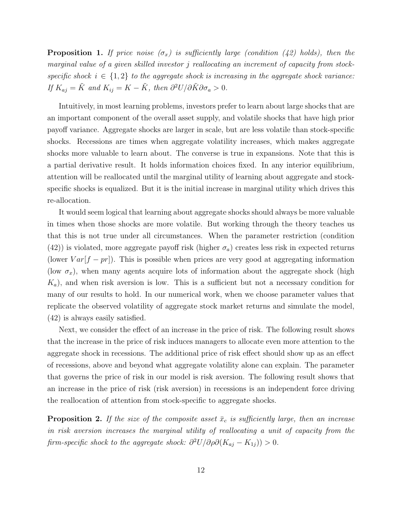**Proposition 1.** If price noise  $(\sigma_x)$  is sufficiently large (condition (42) holds), then the *marginal value of a given skilled investor j reallocating an increment of capacity from stockspecific shock*  $i \in \{1,2\}$  *to the aggregate shock is increasing in the aggregate shock variance: If*  $K_{aj} = \tilde{K}$  *and*  $K_{ij} = K - \tilde{K}$ , *then*  $\partial^2 U / \partial \tilde{K} \partial \sigma_a > 0$ .

Intuitively, in most learning problems, investors prefer to learn about large shocks that are an important component of the overall asset supply, and volatile shocks that have high prior payoff variance. Aggregate shocks are larger in scale, but are less volatile than stock-specific shocks. Recessions are times when aggregate volatility increases, which makes aggregate shocks more valuable to learn about. The converse is true in expansions. Note that this is a partial derivative result. It holds information choices fixed. In any interior equilibrium, attention will be reallocated until the marginal utility of learning about aggregate and stockspecific shocks is equalized. But it is the initial increase in marginal utility which drives this re-allocation.

It would seem logical that learning about aggregate shocks should always be more valuable in times when those shocks are more volatile. But working through the theory teaches us that this is not true under all circumstances. When the parameter restriction (condition  $(42)$ ) is violated, more aggregate payoff risk (higher  $\sigma_a$ ) creates less risk in expected returns (lower  $Var[f - pr]$ ). This is possible when prices are very good at aggregating information (low  $\sigma_x$ ), when many agents acquire lots of information about the aggregate shock (high *Ka*), and when risk aversion is low. This is a sufficient but not a necessary condition for many of our results to hold. In our numerical work, when we choose parameter values that replicate the observed volatility of aggregate stock market returns and simulate the model, (42) is always easily satisfied.

Next, we consider the effect of an increase in the price of risk. The following result shows that the increase in the price of risk induces managers to allocate even more attention to the aggregate shock in recessions. The additional price of risk effect should show up as an effect of recessions, above and beyond what aggregate volatility alone can explain. The parameter that governs the price of risk in our model is risk aversion. The following result shows that an increase in the price of risk (risk aversion) in recessions is an independent force driving the reallocation of attention from stock-specific to aggregate shocks.

**Proposition 2.** If the size of the composite asset  $\bar{x}_c$  is sufficiently large, then an increase *in risk aversion increases the marginal utility of reallocating a unit of capacity from the firm-specific shock to the aggregate shock:*  $\partial^2 U/\partial \rho \partial (K_{aj} - K_{1j})) > 0$ .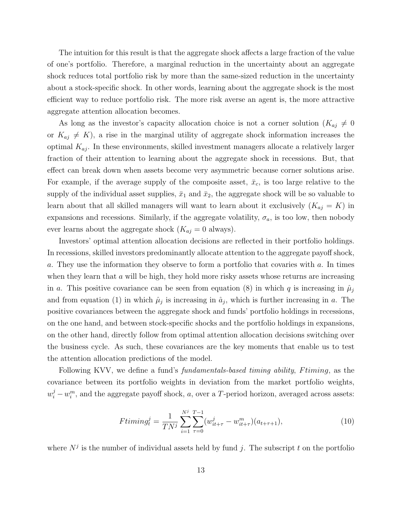The intuition for this result is that the aggregate shock affects a large fraction of the value of one's portfolio. Therefore, a marginal reduction in the uncertainty about an aggregate shock reduces total portfolio risk by more than the same-sized reduction in the uncertainty about a stock-specific shock. In other words, learning about the aggregate shock is the most efficient way to reduce portfolio risk. The more risk averse an agent is, the more attractive aggregate attention allocation becomes.

As long as the investor's capacity allocation choice is not a corner solution  $(K_{aj} \neq 0)$ or  $K_{aj} \neq K$ ), a rise in the marginal utility of aggregate shock information increases the optimal  $K_{aj}$ . In these environments, skilled investment managers allocate a relatively larger fraction of their attention to learning about the aggregate shock in recessions. But, that effect can break down when assets become very asymmetric because corner solutions arise. For example, if the average supply of the composite asset,  $\bar{x}_c$ , is too large relative to the supply of the individual asset supplies,  $\bar{x}_1$  and  $\bar{x}_2$ , the aggregate shock will be so valuable to learn about that all skilled managers will want to learn about it exclusively  $(K_{aj} = K)$  in expansions and recessions. Similarly, if the aggregate volatility,  $\sigma_a$ , is too low, then nobody ever learns about the aggregate shock  $(K_{aj} = 0$  always).

Investors' optimal attention allocation decisions are reflected in their portfolio holdings. In recessions, skilled investors predominantly allocate attention to the aggregate payoff shock, *a*. They use the information they observe to form a portfolio that covaries with *a*. In times when they learn that *a* will be high, they hold more risky assets whose returns are increasing in *a*. This positive covariance can be seen from equation (8) in which *q* is increasing in  $\hat{\mu}_i$ and from equation (1) in which  $\hat{\mu}_j$  is increasing in  $\hat{a}_j$ , which is further increasing in *a*. The positive covariances between the aggregate shock and funds' portfolio holdings in recessions, on the one hand, and between stock-specific shocks and the portfolio holdings in expansions, on the other hand, directly follow from optimal attention allocation decisions switching over the business cycle. As such, these covariances are the key moments that enable us to test the attention allocation predictions of the model.

Following KVV, we define a fund's *fundamentals-based timing ability*, *F timing*, as the covariance between its portfolio weights in deviation from the market portfolio weights,  $w_i^j - w_i^m$ , and the aggregate payoff shock, *a*, over a *T*-period horizon, averaged across assets:

$$
Ftiming_t^j = \frac{1}{TN^j} \sum_{i=1}^{N^j} \sum_{\tau=0}^{T-1} (w_{it+\tau}^j - w_{it+\tau}^m)(a_{t+\tau+1}),
$$
\n(10)

where  $N^j$  is the number of individual assets held by fund *j*. The subscript *t* on the portfolio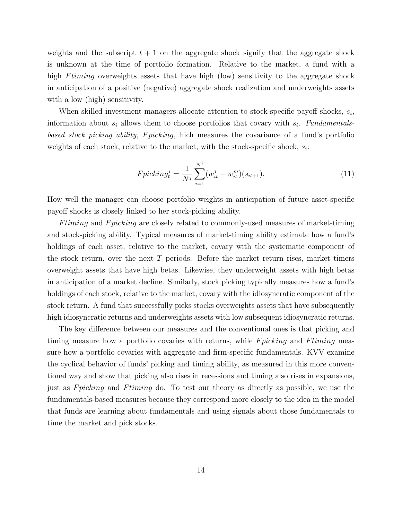weights and the subscript  $t + 1$  on the aggregate shock signify that the aggregate shock is unknown at the time of portfolio formation. Relative to the market, a fund with a high *F timing* overweights assets that have high (low) sensitivity to the aggregate shock in anticipation of a positive (negative) aggregate shock realization and underweights assets with a low (high) sensitivity.

When skilled investment managers allocate attention to stock-specific payoff shocks, *s<sup>i</sup>* , information about *s<sup>i</sup>* allows them to choose portfolios that covary with *s<sup>i</sup>* . *Fundamentalsbased stock picking ability*, *F picking*, hich measures the covariance of a fund's portfolio weights of each stock, relative to the market, with the stock-specific shock, *s<sup>i</sup>* :

$$
Fpicking_t^j = \frac{1}{N^j} \sum_{i=1}^{N^j} (w_{it}^j - w_{it}^m)(s_{it+1}).
$$
\n(11)

How well the manager can choose portfolio weights in anticipation of future asset-specific payoff shocks is closely linked to her stock-picking ability.

*F timing* and *F picking* are closely related to commonly-used measures of market-timing and stock-picking ability. Typical measures of market-timing ability estimate how a fund's holdings of each asset, relative to the market, covary with the systematic component of the stock return, over the next *T* periods. Before the market return rises, market timers overweight assets that have high betas. Likewise, they underweight assets with high betas in anticipation of a market decline. Similarly, stock picking typically measures how a fund's holdings of each stock, relative to the market, covary with the idiosyncratic component of the stock return. A fund that successfully picks stocks overweights assets that have subsequently high idiosyncratic returns and underweights assets with low subsequent idiosyncratic returns.

The key difference between our measures and the conventional ones is that picking and timing measure how a portfolio covaries with returns, while *F picking* and *F timing* measure how a portfolio covaries with aggregate and firm-specific fundamentals. KVV examine the cyclical behavior of funds' picking and timing ability, as measured in this more conventional way and show that picking also rises in recessions and timing also rises in expansions, just as *F picking* and *F timing* do. To test our theory as directly as possible, we use the fundamentals-based measures because they correspond more closely to the idea in the model that funds are learning about fundamentals and using signals about those fundamentals to time the market and pick stocks.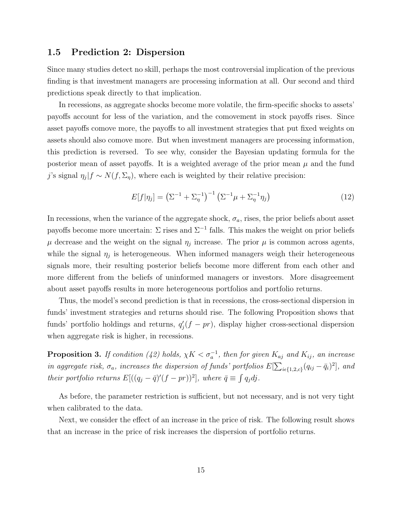### **1.5 Prediction 2: Dispersion**

Since many studies detect no skill, perhaps the most controversial implication of the previous finding is that investment managers are processing information at all. Our second and third predictions speak directly to that implication.

In recessions, as aggregate shocks become more volatile, the firm-specific shocks to assets' payoffs account for less of the variation, and the comovement in stock payoffs rises. Since asset payoffs comove more, the payoffs to all investment strategies that put fixed weights on assets should also comove more. But when investment managers are processing information, this prediction is reversed. To see why, consider the Bayesian updating formula for the posterior mean of asset payoffs. It is a weighted average of the prior mean  $\mu$  and the fund *j*'s signal  $\eta_j$ | $f \sim N(f, \Sigma_\eta)$ , where each is weighted by their relative precision:

$$
E[f|\eta_j] = \left(\Sigma^{-1} + \Sigma_{\eta}^{-1}\right)^{-1} \left(\Sigma^{-1}\mu + \Sigma_{\eta}^{-1}\eta_j\right)
$$
\n(12)

In recessions, when the variance of the aggregate shock,  $\sigma_a$ , rises, the prior beliefs about asset payoffs become more uncertain: Σ rises and Σ*<sup>−</sup>*<sup>1</sup> falls. This makes the weight on prior beliefs  $\mu$  decrease and the weight on the signal  $\eta_j$  increase. The prior  $\mu$  is common across agents, while the signal  $\eta_j$  is heterogeneous. When informed managers weigh their heterogeneous signals more, their resulting posterior beliefs become more different from each other and more different from the beliefs of uninformed managers or investors. More disagreement about asset payoffs results in more heterogeneous portfolios and portfolio returns.

Thus, the model's second prediction is that in recessions, the cross-sectional dispersion in funds' investment strategies and returns should rise. The following Proposition shows that funds' portfolio holdings and returns,  $q'_{j}(f - pr)$ , display higher cross-sectional dispersion when aggregate risk is higher, in recessions.

**Proposition 3.** *If condition* (42) holds,  $\chi K < \sigma_a^{-1}$ , then for given  $K_{aj}$  and  $K_{ij}$ , an increase *in aggregate risk,*  $\sigma_a$ *, increases the dispersion of funds' portfolios*  $E[\sum_{i \in \{1,2,c\}} (q_{ij} - \bar{q}_i)^2]$ *, and their portfolio returns*  $E[((q_j - \bar{q})'(f - pr))^2]$ *, where*  $\bar{q} \equiv \int q_j d_j$ *.* 

As before, the parameter restriction is sufficient, but not necessary, and is not very tight when calibrated to the data.

Next, we consider the effect of an increase in the price of risk. The following result shows that an increase in the price of risk increases the dispersion of portfolio returns.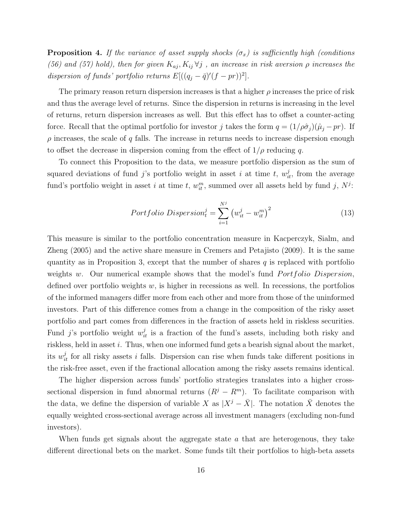**Proposition 4.** If the variance of asset supply shocks  $(\sigma_x)$  is sufficiently high (conditions *(56) and (57) hold), then for given*  $K_{aj}$ ,  $K_{ij}$   $\forall j$ , *an increase in risk aversion*  $\rho$  *increases the dispersion of funds' portfolio returns*  $E[((q_j - \bar{q})'(f - pr))^2]$ .

The primary reason return dispersion increases is that a higher *ρ* increases the price of risk and thus the average level of returns. Since the dispersion in returns is increasing in the level of returns, return dispersion increases as well. But this effect has to offset a counter-acting force. Recall that the optimal portfolio for investor *j* takes the form  $q = (1/\rho \hat{\sigma}_j)(\hat{\mu}_j - pr)$ . If  $\rho$  increases, the scale of  $q$  falls. The increase in returns needs to increase dispersion enough to offset the decrease in dispersion coming from the effect of 1*/ρ* reducing *q*.

To connect this Proposition to the data, we measure portfolio dispersion as the sum of squared deviations of fund *j*'s portfolio weight in asset *i* at time *t*,  $w_{it}^j$ , from the average fund's portfolio weight in asset *i* at time *t*,  $w_{it}^m$ , summed over all assets held by fund *j*,  $N^j$ :

$$
Port folio Disperson_t^j = \sum_{i=1}^{N^j} (w_{it}^j - w_{it}^m)^2
$$
\n(13)

This measure is similar to the portfolio concentration measure in Kacperczyk, Sialm, and Zheng (2005) and the active share measure in Cremers and Petajisto (2009). It is the same quantity as in Proposition 3, except that the number of shares *q* is replaced with portfolio weights *w*. Our numerical example shows that the model's fund *Portfolio Dispersion*, defined over portfolio weights *w*, is higher in recessions as well. In recessions, the portfolios of the informed managers differ more from each other and more from those of the uninformed investors. Part of this difference comes from a change in the composition of the risky asset portfolio and part comes from differences in the fraction of assets held in riskless securities. Fund *j*'s portfolio weight  $w_{it}^j$  is a fraction of the fund's assets, including both risky and riskless, held in asset *i*. Thus, when one informed fund gets a bearish signal about the market, its  $w_{it}^j$  for all risky assets *i* falls. Dispersion can rise when funds take different positions in the risk-free asset, even if the fractional allocation among the risky assets remains identical.

The higher dispersion across funds' portfolio strategies translates into a higher crosssectional dispersion in fund abnormal returns  $(R^{j} - R^{m})$ . To facilitate comparison with the data, we define the dispersion of variable *X* as  $|X^j - \overline{X}|$ . The notation  $\overline{X}$  denotes the equally weighted cross-sectional average across all investment managers (excluding non-fund investors).

When funds get signals about the aggregate state *a* that are heterogenous, they take different directional bets on the market. Some funds tilt their portfolios to high-beta assets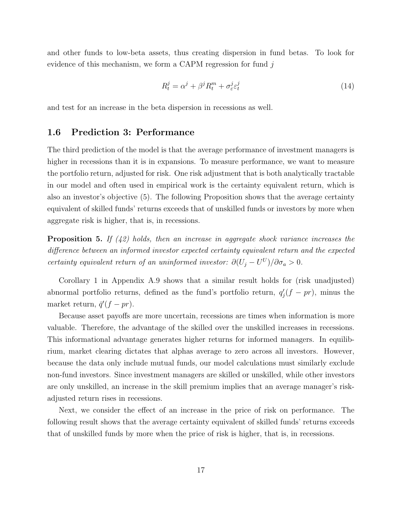and other funds to low-beta assets, thus creating dispersion in fund betas. To look for evidence of this mechanism, we form a CAPM regression for fund *j*

$$
R_t^j = \alpha^j + \beta^j R_t^m + \sigma_\varepsilon^j \varepsilon_t^j \tag{14}
$$

and test for an increase in the beta dispersion in recessions as well.

#### **1.6 Prediction 3: Performance**

The third prediction of the model is that the average performance of investment managers is higher in recessions than it is in expansions. To measure performance, we want to measure the portfolio return, adjusted for risk. One risk adjustment that is both analytically tractable in our model and often used in empirical work is the certainty equivalent return, which is also an investor's objective (5). The following Proposition shows that the average certainty equivalent of skilled funds' returns exceeds that of unskilled funds or investors by more when aggregate risk is higher, that is, in recessions.

**Proposition 5.** *If (42) holds, then an increase in aggregate shock variance increases the difference between an informed investor expected certainty equivalent return and the expected certainty equivalent return of an uninformed investor:*  $\partial(U_j - U^U)/\partial \sigma_a > 0$ .

Corollary 1 in Appendix A.9 shows that a similar result holds for (risk unadjusted) abnormal portfolio returns, defined as the fund's portfolio return,  $q'_{j}(f - pr)$ , minus the market return,  $\bar{q}'(f - pr)$ .

Because asset payoffs are more uncertain, recessions are times when information is more valuable. Therefore, the advantage of the skilled over the unskilled increases in recessions. This informational advantage generates higher returns for informed managers. In equilibrium, market clearing dictates that alphas average to zero across all investors. However, because the data only include mutual funds, our model calculations must similarly exclude non-fund investors. Since investment managers are skilled or unskilled, while other investors are only unskilled, an increase in the skill premium implies that an average manager's riskadjusted return rises in recessions.

Next, we consider the effect of an increase in the price of risk on performance. The following result shows that the average certainty equivalent of skilled funds' returns exceeds that of unskilled funds by more when the price of risk is higher, that is, in recessions.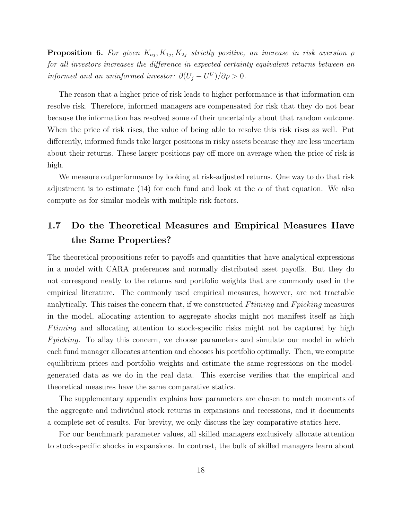**Proposition 6.** For given  $K_{aj}$ ,  $K_{1j}$ ,  $K_{2j}$  strictly positive, an increase in risk aversion  $\rho$ *for all investors increases the difference in expected certainty equivalent returns between an informed and an uninformed investor:*  $\partial(U_j - U^U)/\partial \rho > 0$ .

The reason that a higher price of risk leads to higher performance is that information can resolve risk. Therefore, informed managers are compensated for risk that they do not bear because the information has resolved some of their uncertainty about that random outcome. When the price of risk rises, the value of being able to resolve this risk rises as well. Put differently, informed funds take larger positions in risky assets because they are less uncertain about their returns. These larger positions pay off more on average when the price of risk is high.

We measure outperformance by looking at risk-adjusted returns. One way to do that risk adjustment is to estimate (14) for each fund and look at the  $\alpha$  of that equation. We also compute  $\alpha s$  for similar models with multiple risk factors.

# **1.7 Do the Theoretical Measures and Empirical Measures Have the Same Properties?**

The theoretical propositions refer to payoffs and quantities that have analytical expressions in a model with CARA preferences and normally distributed asset payoffs. But they do not correspond neatly to the returns and portfolio weights that are commonly used in the empirical literature. The commonly used empirical measures, however, are not tractable analytically. This raises the concern that, if we constructed *F timing* and *F picking* measures in the model, allocating attention to aggregate shocks might not manifest itself as high *Ftiming* and allocating attention to stock-specific risks might not be captured by high *F picking*. To allay this concern, we choose parameters and simulate our model in which each fund manager allocates attention and chooses his portfolio optimally. Then, we compute equilibrium prices and portfolio weights and estimate the same regressions on the modelgenerated data as we do in the real data. This exercise verifies that the empirical and theoretical measures have the same comparative statics.

The supplementary appendix explains how parameters are chosen to match moments of the aggregate and individual stock returns in expansions and recessions, and it documents a complete set of results. For brevity, we only discuss the key comparative statics here.

For our benchmark parameter values, all skilled managers exclusively allocate attention to stock-specific shocks in expansions. In contrast, the bulk of skilled managers learn about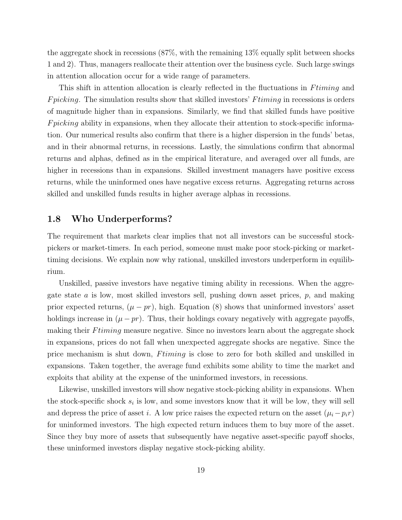the aggregate shock in recessions (87%, with the remaining 13% equally split between shocks 1 and 2). Thus, managers reallocate their attention over the business cycle. Such large swings in attention allocation occur for a wide range of parameters.

This shift in attention allocation is clearly reflected in the fluctuations in *F timing* and *F picking*. The simulation results show that skilled investors' *F timing* in recessions is orders of magnitude higher than in expansions. Similarly, we find that skilled funds have positive *F picking* ability in expansions, when they allocate their attention to stock-specific information. Our numerical results also confirm that there is a higher dispersion in the funds' betas, and in their abnormal returns, in recessions. Lastly, the simulations confirm that abnormal returns and alphas, defined as in the empirical literature, and averaged over all funds, are higher in recessions than in expansions. Skilled investment managers have positive excess returns, while the uninformed ones have negative excess returns. Aggregating returns across skilled and unskilled funds results in higher average alphas in recessions.

### **1.8 Who Underperforms?**

The requirement that markets clear implies that not all investors can be successful stockpickers or market-timers. In each period, someone must make poor stock-picking or markettiming decisions. We explain now why rational, unskilled investors underperform in equilibrium.

Unskilled, passive investors have negative timing ability in recessions. When the aggregate state *a* is low, most skilled investors sell, pushing down asset prices, *p*, and making prior expected returns,  $(\mu - pr)$ , high. Equation (8) shows that uninformed investors' asset holdings increase in  $(\mu - pr)$ . Thus, their holdings covary negatively with aggregate payoffs, making their *F timing* measure negative. Since no investors learn about the aggregate shock in expansions, prices do not fall when unexpected aggregate shocks are negative. Since the price mechanism is shut down, *F timing* is close to zero for both skilled and unskilled in expansions. Taken together, the average fund exhibits some ability to time the market and exploits that ability at the expense of the uninformed investors, in recessions.

Likewise, unskilled investors will show negative stock-picking ability in expansions. When the stock-specific shock  $s_i$  is low, and some investors know that it will be low, they will sell and depress the price of asset *i*. A low price raises the expected return on the asset  $(\mu_i - p_i r)$ for uninformed investors. The high expected return induces them to buy more of the asset. Since they buy more of assets that subsequently have negative asset-specific payoff shocks, these uninformed investors display negative stock-picking ability.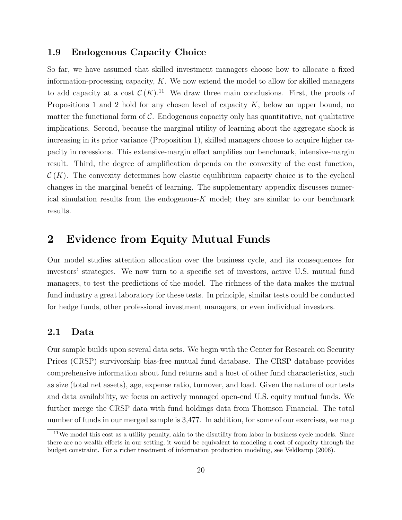### **1.9 Endogenous Capacity Choice**

So far, we have assumed that skilled investment managers choose how to allocate a fixed information-processing capacity, *K*. We now extend the model to allow for skilled managers to add capacity at a cost  $\mathcal{C}(K)$ .<sup>11</sup> We draw three main conclusions. First, the proofs of Propositions 1 and 2 hold for any chosen level of capacity *K*, below an upper bound, no matter the functional form of  $\mathcal C$ . Endogenous capacity only has quantitative, not qualitative implications. Second, because the marginal utility of learning about the aggregate shock is increasing in its prior variance (Proposition 1), skilled managers choose to acquire higher capacity in recessions. This extensive-margin effect amplifies our benchmark, intensive-margin result. Third, the degree of amplification depends on the convexity of the cost function,  $\mathcal{C}(K)$ . The convexity determines how elastic equilibrium capacity choice is to the cyclical changes in the marginal benefit of learning. The supplementary appendix discusses numerical simulation results from the endogenous-*K* model; they are similar to our benchmark results.

### **2 Evidence from Equity Mutual Funds**

Our model studies attention allocation over the business cycle, and its consequences for investors' strategies. We now turn to a specific set of investors, active U.S. mutual fund managers, to test the predictions of the model. The richness of the data makes the mutual fund industry a great laboratory for these tests. In principle, similar tests could be conducted for hedge funds, other professional investment managers, or even individual investors.

#### **2.1 Data**

Our sample builds upon several data sets. We begin with the Center for Research on Security Prices (CRSP) survivorship bias-free mutual fund database. The CRSP database provides comprehensive information about fund returns and a host of other fund characteristics, such as size (total net assets), age, expense ratio, turnover, and load. Given the nature of our tests and data availability, we focus on actively managed open-end U.S. equity mutual funds. We further merge the CRSP data with fund holdings data from Thomson Financial. The total number of funds in our merged sample is 3,477. In addition, for some of our exercises, we map

 $11$ We model this cost as a utility penalty, akin to the disutility from labor in business cycle models. Since there are no wealth effects in our setting, it would be equivalent to modeling a cost of capacity through the budget constraint. For a richer treatment of information production modeling, see Veldkamp (2006).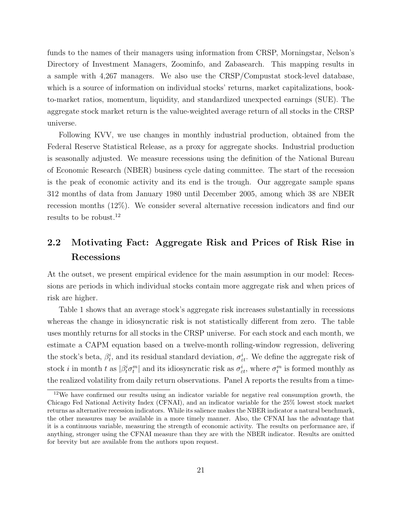funds to the names of their managers using information from CRSP, Morningstar, Nelson's Directory of Investment Managers, Zoominfo, and Zabasearch. This mapping results in a sample with 4,267 managers. We also use the CRSP/Compustat stock-level database, which is a source of information on individual stocks' returns, market capitalizations, bookto-market ratios, momentum, liquidity, and standardized unexpected earnings (SUE). The aggregate stock market return is the value-weighted average return of all stocks in the CRSP universe.

Following KVV, we use changes in monthly industrial production, obtained from the Federal Reserve Statistical Release, as a proxy for aggregate shocks. Industrial production is seasonally adjusted. We measure recessions using the definition of the National Bureau of Economic Research (NBER) business cycle dating committee. The start of the recession is the peak of economic activity and its end is the trough. Our aggregate sample spans 312 months of data from January 1980 until December 2005, among which 38 are NBER recession months (12%). We consider several alternative recession indicators and find our results to be robust.<sup>12</sup>

# **2.2 Motivating Fact: Aggregate Risk and Prices of Risk Rise in Recessions**

At the outset, we present empirical evidence for the main assumption in our model: Recessions are periods in which individual stocks contain more aggregate risk and when prices of risk are higher.

Table 1 shows that an average stock's aggregate risk increases substantially in recessions whereas the change in idiosyncratic risk is not statistically different from zero. The table uses monthly returns for all stocks in the CRSP universe. For each stock and each month, we estimate a CAPM equation based on a twelve-month rolling-window regression, delivering the stock's beta,  $\beta_t^i$ , and its residual standard deviation,  $\sigma_{\varepsilon t}^i$ . We define the aggregate risk of stock *i* in month *t* as  $|\beta_t^i \sigma_t^m|$  and its idiosyncratic risk as  $\sigma_{\varepsilon t}^i$ , where  $\sigma_t^m$  is formed monthly as the realized volatility from daily return observations. Panel A reports the results from a time-

<sup>12</sup>We have confirmed our results using an indicator variable for negative real consumption growth, the Chicago Fed National Activity Index (CFNAI), and an indicator variable for the 25% lowest stock market returns as alternative recession indicators. While its salience makes the NBER indicator a natural benchmark, the other measures may be available in a more timely manner. Also, the CFNAI has the advantage that it is a continuous variable, measuring the strength of economic activity. The results on performance are, if anything, stronger using the CFNAI measure than they are with the NBER indicator. Results are omitted for brevity but are available from the authors upon request.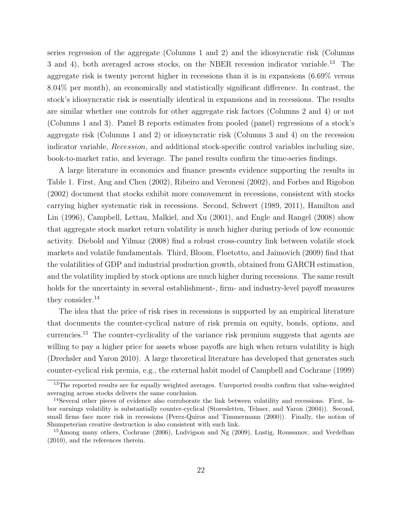series regression of the aggregate (Columns 1 and 2) and the idiosyncratic risk (Columns 3 and 4), both averaged across stocks, on the NBER recession indicator variable.<sup>13</sup> The aggregate risk is twenty percent higher in recessions than it is in expansions (6.69% versus 8.04% per month), an economically and statistically significant difference. In contrast, the stock's idiosyncratic risk is essentially identical in expansions and in recessions. The results are similar whether one controls for other aggregate risk factors (Columns 2 and 4) or not (Columns 1 and 3). Panel B reports estimates from pooled (panel) regressions of a stock's aggregate risk (Columns 1 and 2) or idiosyncratic risk (Columns 3 and 4) on the recession indicator variable, *Recession*, and additional stock-specific control variables including size, book-to-market ratio, and leverage. The panel results confirm the time-series findings.

A large literature in economics and finance presents evidence supporting the results in Table 1. First, Ang and Chen (2002), Ribeiro and Veronesi (2002), and Forbes and Rigobon (2002) document that stocks exhibit more comovement in recessions, consistent with stocks carrying higher systematic risk in recessions. Second, Schwert (1989, 2011), Hamilton and Lin (1996), Campbell, Lettau, Malkiel, and Xu (2001), and Engle and Rangel (2008) show that aggregate stock market return volatility is much higher during periods of low economic activity. Diebold and Yilmaz (2008) find a robust cross-country link between volatile stock markets and volatile fundamentals. Third, Bloom, Floetotto, and Jaimovich (2009) find that the volatilities of GDP and industrial production growth, obtained from GARCH estimation, and the volatility implied by stock options are much higher during recessions. The same result holds for the uncertainty in several establishment-, firm- and industry-level payoff measures they consider.<sup>14</sup>

The idea that the price of risk rises in recessions is supported by an empirical literature that documents the counter-cyclical nature of risk premia on equity, bonds, options, and currencies.<sup>15</sup> The counter-cyclicality of the variance risk premium suggests that agents are willing to pay a higher price for assets whose payoffs are high when return volatility is high (Drechsler and Yaron 2010). A large theoretical literature has developed that generates such counter-cyclical risk premia, e.g., the external habit model of Campbell and Cochrane (1999)

<sup>&</sup>lt;sup>13</sup>The reported results are for equally weighted averages. Unreported results confirm that value-weighted averaging across stocks delivers the same conclusion.

<sup>14</sup>Several other pieces of evidence also corroborate the link between volatility and recessions. First, labor earnings volatility is substantially counter-cyclical (Storesletten, Telmer, and Yaron (2004)). Second, small firms face more risk in recessions (Perez-Quiros and Timmermann (2000)). Finally, the notion of Shumpeterian creative destruction is also consistent with such link.

<sup>&</sup>lt;sup>15</sup>Among many others, Cochrane (2006), Ludvigson and Ng (2009), Lustig, Roussanov, and Verdelhan (2010), and the references therein.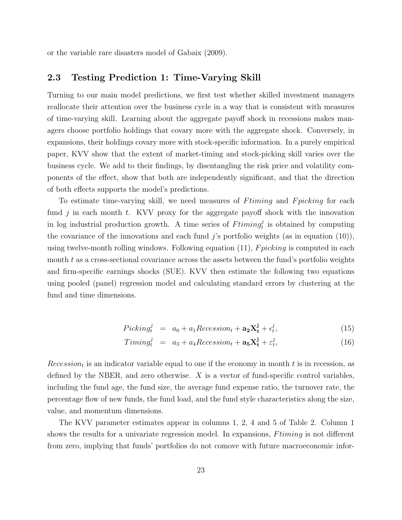or the variable rare disasters model of Gabaix (2009).

### **2.3 Testing Prediction 1: Time-Varying Skill**

Turning to our main model predictions, we first test whether skilled investment managers reallocate their attention over the business cycle in a way that is consistent with measures of time-varying skill. Learning about the aggregate payoff shock in recessions makes managers choose portfolio holdings that covary more with the aggregate shock. Conversely, in expansions, their holdings covary more with stock-specific information. In a purely empirical paper, KVV show that the extent of market-timing and stock-picking skill varies over the business cycle. We add to their findings, by disentangling the risk price and volatility components of the effect, show that both are independently significant, and that the direction of both effects supports the model's predictions.

To estimate time-varying skill, we need measures of *F timing* and *F picking* for each fund *j* in each month *t*. KVV proxy for the aggregate payoff shock with the innovation in log industrial production growth. A time series of  $F \times f$  is obtained by computing the covariance of the innovations and each fund  $j$ 's portfolio weights (as in equation  $(10)$ ), using twelve-month rolling windows. Following equation (11), *F picking* is computed in each month *t* as a cross-sectional covariance across the assets between the fund's portfolio weights and firm-specific earnings shocks (SUE). KVV then estimate the following two equations using pooled (panel) regression model and calculating standard errors by clustering at the fund and time dimensions.

$$
Picking_t^j = a_0 + a_1 Recession_t + \mathbf{a_2 X_t^j} + \epsilon_t^j,\tag{15}
$$

$$
Timing_t^j = a_3 + a_4Recession_t + \mathbf{a}_5 \mathbf{X}_t^j + \varepsilon_t^j, \tag{16}
$$

 $Recession<sub>t</sub>$  is an indicator variable equal to one if the economy in month  $t$  is in recession, as defined by the NBER, and zero otherwise. *X* is a vector of fund-specific control variables, including the fund age, the fund size, the average fund expense ratio, the turnover rate, the percentage flow of new funds, the fund load, and the fund style characteristics along the size, value, and momentum dimensions.

The KVV parameter estimates appear in columns 1, 2, 4 and 5 of Table 2. Column 1 shows the results for a univariate regression model. In expansions, *F timing* is not different from zero, implying that funds' portfolios do not comove with future macroeconomic infor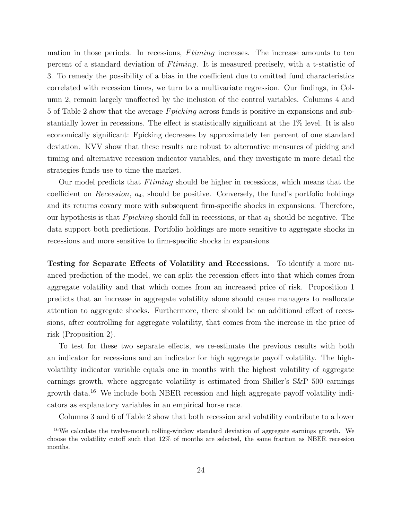mation in those periods. In recessions, *F timing* increases. The increase amounts to ten percent of a standard deviation of *F timing*. It is measured precisely, with a t-statistic of 3. To remedy the possibility of a bias in the coefficient due to omitted fund characteristics correlated with recession times, we turn to a multivariate regression. Our findings, in Column 2, remain largely unaffected by the inclusion of the control variables. Columns 4 and 5 of Table 2 show that the average *F picking* across funds is positive in expansions and substantially lower in recessions. The effect is statistically significant at the 1% level. It is also economically significant: Fpicking decreases by approximately ten percent of one standard deviation. KVV show that these results are robust to alternative measures of picking and timing and alternative recession indicator variables, and they investigate in more detail the strategies funds use to time the market.

Our model predicts that *F timing* should be higher in recessions, which means that the coefficient on *Recession*, *a*4, should be positive. Conversely, the fund's portfolio holdings and its returns covary more with subsequent firm-specific shocks in expansions. Therefore, our hypothesis is that *F picking* should fall in recessions, or that *a*<sup>1</sup> should be negative. The data support both predictions. Portfolio holdings are more sensitive to aggregate shocks in recessions and more sensitive to firm-specific shocks in expansions.

**Testing for Separate Effects of Volatility and Recessions.** To identify a more nuanced prediction of the model, we can split the recession effect into that which comes from aggregate volatility and that which comes from an increased price of risk. Proposition 1 predicts that an increase in aggregate volatility alone should cause managers to reallocate attention to aggregate shocks. Furthermore, there should be an additional effect of recessions, after controlling for aggregate volatility, that comes from the increase in the price of risk (Proposition 2).

To test for these two separate effects, we re-estimate the previous results with both an indicator for recessions and an indicator for high aggregate payoff volatility. The highvolatility indicator variable equals one in months with the highest volatility of aggregate earnings growth, where aggregate volatility is estimated from Shiller's S&P 500 earnings growth data.<sup>16</sup> We include both NBER recession and high aggregate payoff volatility indicators as explanatory variables in an empirical horse race.

Columns 3 and 6 of Table 2 show that both recession and volatility contribute to a lower

<sup>16</sup>We calculate the twelve-month rolling-window standard deviation of aggregate earnings growth. We choose the volatility cutoff such that 12% of months are selected, the same fraction as NBER recession months.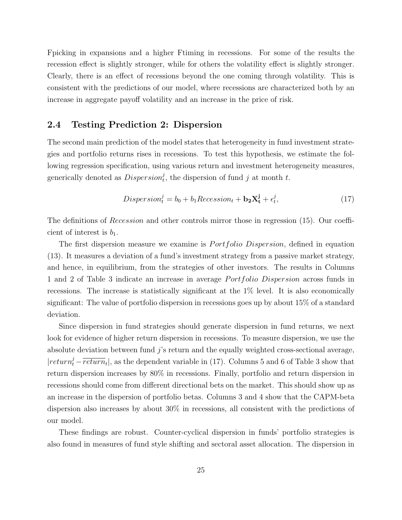Fpicking in expansions and a higher Ftiming in recessions. For some of the results the recession effect is slightly stronger, while for others the volatility effect is slightly stronger. Clearly, there is an effect of recessions beyond the one coming through volatility. This is consistent with the predictions of our model, where recessions are characterized both by an increase in aggregate payoff volatility and an increase in the price of risk.

#### **2.4 Testing Prediction 2: Dispersion**

The second main prediction of the model states that heterogeneity in fund investment strategies and portfolio returns rises in recessions. To test this hypothesis, we estimate the following regression specification, using various return and investment heterogeneity measures, generically denoted as  $Disperson_t^j$ , the dispersion of fund *j* at month *t*.

$$
Dispersion_t^j = b_0 + b_1 Recession_t + \mathbf{b}_2 \mathbf{X}_t^j + \epsilon_t^j,
$$
\n(17)

The definitions of *Recession* and other controls mirror those in regression (15). Our coefficient of interest is  $b_1$ .

The first dispersion measure we examine is *P ortfolio Dispersion*, defined in equation (13). It measures a deviation of a fund's investment strategy from a passive market strategy, and hence, in equilibrium, from the strategies of other investors. The results in Columns 1 and 2 of Table 3 indicate an increase in average *P ortfolio Dispersion* across funds in recessions. The increase is statistically significant at the 1% level. It is also economically significant: The value of portfolio dispersion in recessions goes up by about 15% of a standard deviation.

Since dispersion in fund strategies should generate dispersion in fund returns, we next look for evidence of higher return dispersion in recessions. To measure dispersion, we use the absolute deviation between fund *j*'s return and the equally weighted cross-sectional average,  $|return_i^j - \overline{return_i}|$ , as the dependent variable in (17). Columns 5 and 6 of Table 3 show that return dispersion increases by 80% in recessions. Finally, portfolio and return dispersion in recessions should come from different directional bets on the market. This should show up as an increase in the dispersion of portfolio betas. Columns 3 and 4 show that the CAPM-beta dispersion also increases by about 30% in recessions, all consistent with the predictions of our model.

These findings are robust. Counter-cyclical dispersion in funds' portfolio strategies is also found in measures of fund style shifting and sectoral asset allocation. The dispersion in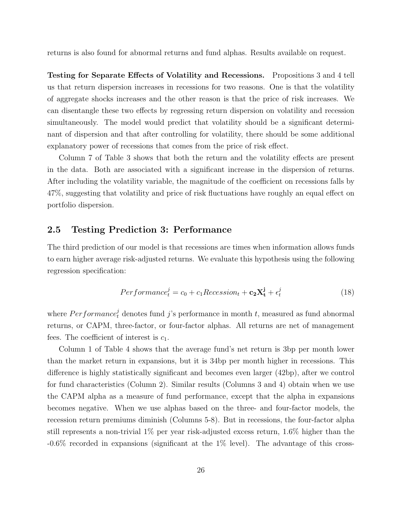returns is also found for abnormal returns and fund alphas. Results available on request.

**Testing for Separate Effects of Volatility and Recessions.** Propositions 3 and 4 tell us that return dispersion increases in recessions for two reasons. One is that the volatility of aggregate shocks increases and the other reason is that the price of risk increases. We can disentangle these two effects by regressing return dispersion on volatility and recession simultaneously. The model would predict that volatility should be a significant determinant of dispersion and that after controlling for volatility, there should be some additional explanatory power of recessions that comes from the price of risk effect.

Column 7 of Table 3 shows that both the return and the volatility effects are present in the data. Both are associated with a significant increase in the dispersion of returns. After including the volatility variable, the magnitude of the coefficient on recessions falls by 47%, suggesting that volatility and price of risk fluctuations have roughly an equal effect on portfolio dispersion.

### **2.5 Testing Prediction 3: Performance**

The third prediction of our model is that recessions are times when information allows funds to earn higher average risk-adjusted returns. We evaluate this hypothesis using the following regression specification:

$$
Performancetj = c0 + c1Recessiont + c2Xtj + \epsilontj
$$
\n(18)

where  $Performance<sub>t</sub><sup>j</sup>$  denotes fund *j*'s performance in month *t*, measured as fund abnormal returns, or CAPM, three-factor, or four-factor alphas. All returns are net of management fees. The coefficient of interest is  $c_1$ .

Column 1 of Table 4 shows that the average fund's net return is 3bp per month lower than the market return in expansions, but it is 34bp per month higher in recessions. This difference is highly statistically significant and becomes even larger (42bp), after we control for fund characteristics (Column 2). Similar results (Columns 3 and 4) obtain when we use the CAPM alpha as a measure of fund performance, except that the alpha in expansions becomes negative. When we use alphas based on the three- and four-factor models, the recession return premiums diminish (Columns 5-8). But in recessions, the four-factor alpha still represents a non-trivial 1% per year risk-adjusted excess return, 1.6% higher than the -0.6% recorded in expansions (significant at the 1% level). The advantage of this cross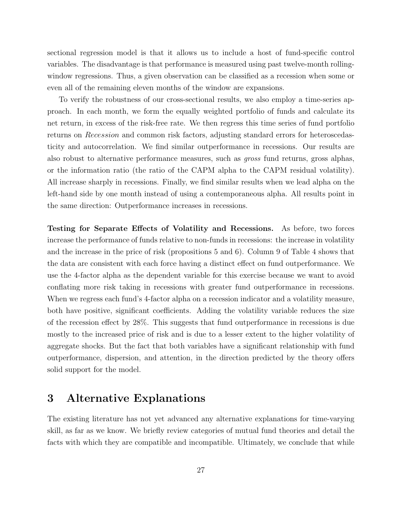sectional regression model is that it allows us to include a host of fund-specific control variables. The disadvantage is that performance is measured using past twelve-month rollingwindow regressions. Thus, a given observation can be classified as a recession when some or even all of the remaining eleven months of the window are expansions.

To verify the robustness of our cross-sectional results, we also employ a time-series approach. In each month, we form the equally weighted portfolio of funds and calculate its net return, in excess of the risk-free rate. We then regress this time series of fund portfolio returns on *Recession* and common risk factors, adjusting standard errors for heteroscedasticity and autocorrelation. We find similar outperformance in recessions. Our results are also robust to alternative performance measures, such as *gross* fund returns, gross alphas, or the information ratio (the ratio of the CAPM alpha to the CAPM residual volatility). All increase sharply in recessions. Finally, we find similar results when we lead alpha on the left-hand side by one month instead of using a contemporaneous alpha. All results point in the same direction: Outperformance increases in recessions.

**Testing for Separate Effects of Volatility and Recessions.** As before, two forces increase the performance of funds relative to non-funds in recessions: the increase in volatility and the increase in the price of risk (propositions 5 and 6). Column 9 of Table 4 shows that the data are consistent with each force having a distinct effect on fund outperformance. We use the 4-factor alpha as the dependent variable for this exercise because we want to avoid conflating more risk taking in recessions with greater fund outperformance in recessions. When we regress each fund's 4-factor alpha on a recession indicator and a volatility measure, both have positive, significant coefficients. Adding the volatility variable reduces the size of the recession effect by 28%. This suggests that fund outperformance in recessions is due mostly to the increased price of risk and is due to a lesser extent to the higher volatility of aggregate shocks. But the fact that both variables have a significant relationship with fund outperformance, dispersion, and attention, in the direction predicted by the theory offers solid support for the model.

# **3 Alternative Explanations**

The existing literature has not yet advanced any alternative explanations for time-varying skill, as far as we know. We briefly review categories of mutual fund theories and detail the facts with which they are compatible and incompatible. Ultimately, we conclude that while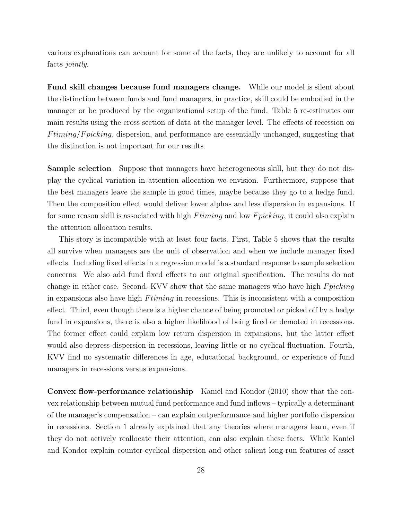various explanations can account for some of the facts, they are unlikely to account for all facts *jointly*.

**Fund skill changes because fund managers change.** While our model is silent about the distinction between funds and fund managers, in practice, skill could be embodied in the manager or be produced by the organizational setup of the fund. Table 5 re-estimates our main results using the cross section of data at the manager level. The effects of recession on *F timing*/*F picking*, dispersion, and performance are essentially unchanged, suggesting that the distinction is not important for our results.

**Sample selection** Suppose that managers have heterogeneous skill, but they do not display the cyclical variation in attention allocation we envision. Furthermore, suppose that the best managers leave the sample in good times, maybe because they go to a hedge fund. Then the composition effect would deliver lower alphas and less dispersion in expansions. If for some reason skill is associated with high *F timing* and low *F picking*, it could also explain the attention allocation results.

This story is incompatible with at least four facts. First, Table 5 shows that the results all survive when managers are the unit of observation and when we include manager fixed effects. Including fixed effects in a regression model is a standard response to sample selection concerns. We also add fund fixed effects to our original specification. The results do not change in either case. Second, KVV show that the same managers who have high *F picking* in expansions also have high *F timing* in recessions. This is inconsistent with a composition effect. Third, even though there is a higher chance of being promoted or picked off by a hedge fund in expansions, there is also a higher likelihood of being fired or demoted in recessions. The former effect could explain low return dispersion in expansions, but the latter effect would also depress dispersion in recessions, leaving little or no cyclical fluctuation. Fourth, KVV find no systematic differences in age, educational background, or experience of fund managers in recessions versus expansions.

**Convex flow-performance relationship** Kaniel and Kondor (2010) show that the convex relationship between mutual fund performance and fund inflows – typically a determinant of the manager's compensation – can explain outperformance and higher portfolio dispersion in recessions. Section 1 already explained that any theories where managers learn, even if they do not actively reallocate their attention, can also explain these facts. While Kaniel and Kondor explain counter-cyclical dispersion and other salient long-run features of asset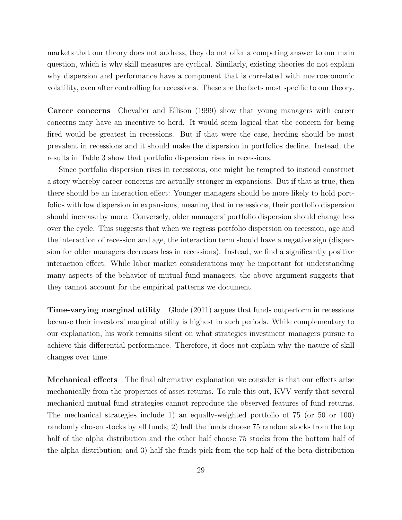markets that our theory does not address, they do not offer a competing answer to our main question, which is why skill measures are cyclical. Similarly, existing theories do not explain why dispersion and performance have a component that is correlated with macroeconomic volatility, even after controlling for recessions. These are the facts most specific to our theory.

**Career concerns** Chevalier and Ellison (1999) show that young managers with career concerns may have an incentive to herd. It would seem logical that the concern for being fired would be greatest in recessions. But if that were the case, herding should be most prevalent in recessions and it should make the dispersion in portfolios decline. Instead, the results in Table 3 show that portfolio dispersion rises in recessions.

Since portfolio dispersion rises in recessions, one might be tempted to instead construct a story whereby career concerns are actually stronger in expansions. But if that is true, then there should be an interaction effect: Younger managers should be more likely to hold portfolios with low dispersion in expansions, meaning that in recessions, their portfolio dispersion should increase by more. Conversely, older managers' portfolio dispersion should change less over the cycle. This suggests that when we regress portfolio dispersion on recession, age and the interaction of recession and age, the interaction term should have a negative sign (dispersion for older managers decreases less in recessions). Instead, we find a significantly positive interaction effect. While labor market considerations may be important for understanding many aspects of the behavior of mutual fund managers, the above argument suggests that they cannot account for the empirical patterns we document.

**Time-varying marginal utility** Glode (2011) argues that funds outperform in recessions because their investors' marginal utility is highest in such periods. While complementary to our explanation, his work remains silent on what strategies investment managers pursue to achieve this differential performance. Therefore, it does not explain why the nature of skill changes over time.

**Mechanical effects** The final alternative explanation we consider is that our effects arise mechanically from the properties of asset returns. To rule this out, KVV verify that several mechanical mutual fund strategies cannot reproduce the observed features of fund returns. The mechanical strategies include 1) an equally-weighted portfolio of 75 (or 50 or 100) randomly chosen stocks by all funds; 2) half the funds choose 75 random stocks from the top half of the alpha distribution and the other half choose 75 stocks from the bottom half of the alpha distribution; and 3) half the funds pick from the top half of the beta distribution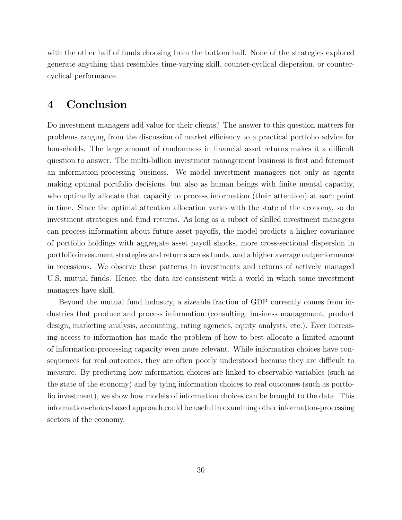with the other half of funds choosing from the bottom half. None of the strategies explored generate anything that resembles time-varying skill, counter-cyclical dispersion, or countercyclical performance.

# **4 Conclusion**

Do investment managers add value for their clients? The answer to this question matters for problems ranging from the discussion of market efficiency to a practical portfolio advice for households. The large amount of randomness in financial asset returns makes it a difficult question to answer. The multi-billion investment management business is first and foremost an information-processing business. We model investment managers not only as agents making optimal portfolio decisions, but also as human beings with finite mental capacity, who optimally allocate that capacity to process information (their attention) at each point in time. Since the optimal attention allocation varies with the state of the economy, so do investment strategies and fund returns. As long as a subset of skilled investment managers can process information about future asset payoffs, the model predicts a higher covariance of portfolio holdings with aggregate asset payoff shocks, more cross-sectional dispersion in portfolio investment strategies and returns across funds, and a higher average outperformance in recessions. We observe these patterns in investments and returns of actively managed U.S. mutual funds. Hence, the data are consistent with a world in which some investment managers have skill.

Beyond the mutual fund industry, a sizeable fraction of GDP currently comes from industries that produce and process information (consulting, business management, product design, marketing analysis, accounting, rating agencies, equity analysts, etc.). Ever increasing access to information has made the problem of how to best allocate a limited amount of information-processing capacity even more relevant. While information choices have consequences for real outcomes, they are often poorly understood because they are difficult to measure. By predicting how information choices are linked to observable variables (such as the state of the economy) and by tying information choices to real outcomes (such as portfolio investment), we show how models of information choices can be brought to the data. This information-choice-based approach could be useful in examining other information-processing sectors of the economy.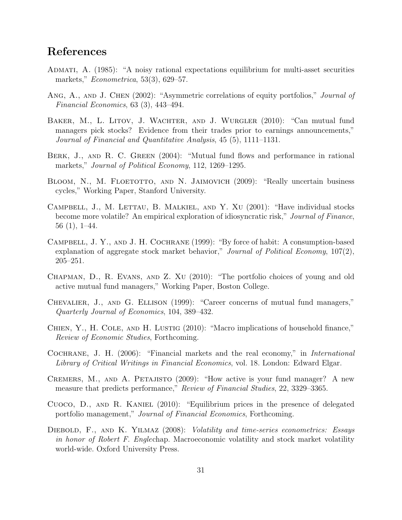# **References**

- Admati, A. (1985): "A noisy rational expectations equilibrium for multi-asset securities markets," *Econometrica*, 53(3), 629–57.
- Ang, A., and J. Chen (2002): "Asymmetric correlations of equity portfolios," *Journal of Financial Economics*, 63 (3), 443–494.
- BAKER, M., L. LITOV, J. WACHTER, AND J. WURGLER (2010): "Can mutual fund managers pick stocks? Evidence from their trades prior to earnings announcements," *Journal of Financial and Quantitative Analysis*, 45 (5), 1111–1131.
- BERK, J., AND R. C. GREEN (2004): "Mutual fund flows and performance in rational markets," *Journal of Political Economy*, 112, 1269–1295.
- BLOOM, N., M. FLOETOTTO, AND N. JAIMOVICH (2009): "Really uncertain business cycles," Working Paper, Stanford University.
- Campbell, J., M. Lettau, B. Malkiel, and Y. Xu (2001): "Have individual stocks become more volatile? An empirical exploration of idiosyncratic risk," *Journal of Finance*, 56 (1), 1–44.
- Campbell, J. Y., and J. H. Cochrane (1999): "By force of habit: A consumption-based explanation of aggregate stock market behavior," *Journal of Political Economy*, 107(2), 205–251.
- Chapman, D., R. Evans, and Z. Xu (2010): "The portfolio choices of young and old active mutual fund managers," Working Paper, Boston College.
- Chevalier, J., and G. Ellison (1999): "Career concerns of mutual fund managers," *Quarterly Journal of Economics*, 104, 389–432.
- CHIEN, Y., H. COLE, AND H. LUSTIG (2010): "Macro implications of household finance," *Review of Economic Studies*, Forthcoming.
- Cochrane, J. H. (2006): "Financial markets and the real economy," in *International Library of Critical Writings in Financial Economics*, vol. 18. London: Edward Elgar.
- Cremers, M., and A. Petajisto (2009): "How active is your fund manager? A new measure that predicts performance," *Review of Financial Studies*, 22, 3329–3365.
- Cuoco, D., and R. Kaniel (2010): "Equilibrium prices in the presence of delegated portfolio management," *Journal of Financial Economics*, Forthcoming.
- Diebold, F., and K. Yilmaz (2008): *Volatility and time-series econometrics: Essays in honor of Robert F. Engle*chap. Macroeconomic volatility and stock market volatility world-wide. Oxford University Press.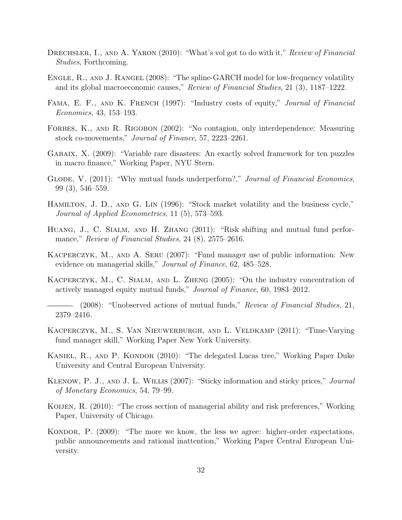- Drechsler, I., and A. Yaron (2010): "What's vol got to do with it," *Review of Financial Studies*, Forthcoming.
- ENGLE, R., AND J. RANGEL (2008): "The spline-GARCH model for low-frequency volatility and its global macroeconomic causes," *Review of Financial Studies*, 21 (3), 1187–1222.
- Fama, E. F., and K. French (1997): "Industry costs of equity," *Journal of Financial Economics*, 43, 153–193.
- FORBES, K., AND R. RIGOBON (2002): "No contagion, only interdependence: Measuring stock co-movements," *Journal of Finance*, 57, 2223–2261.
- Gabaix, X. (2009): "Variable rare disasters: An exactly solved framework for ten puzzles in macro finance," Working Paper, NYU Stern.
- Glode, V. (2011): "Why mutual funds underperform?," *Journal of Financial Economics*, 99 (3), 546–559.
- HAMILTON, J. D., AND G. LIN (1996): "Stock market volatility and the business cycle," *Journal of Applied Econometrics*, 11 (5), 573–593.
- HUANG, J., C. SIALM, AND H. ZHANG (2011): "Risk shifting and mutual fund performance," *Review of Financial Studies*, 24 (8), 2575–2616.
- Kacperczyk, M., and A. Seru (2007): "Fund manager use of public information: New evidence on managerial skills," *Journal of Finance*, 62, 485–528.
- Kacperczyk, M., C. Sialm, and L. Zheng (2005): "On the industry concentration of actively managed equity mutual funds," *Journal of Finance*, 60, 1983–2012.
- (2008): "Unobserved actions of mutual funds," *Review of Financial Studies*, 21, 2379–2416.
- Kacperczyk, M., S. Van Nieuwerburgh, and L. Veldkamp (2011): "Time-Varying fund manager skill," Working Paper New York University.
- KANIEL, R., AND P. KONDOR (2010): "The delegated Lucas tree," Working Paper Duke University and Central European University.
- Klenow, P. J., and J. L. Willis (2007): "Sticky information and sticky prices," *Journal of Monetary Economics*, 54, 79–99.
- KOIJEN, R. (2010): "The cross section of managerial ability and risk preferences," Working Paper, University of Chicago.
- KONDOR, P. (2009): "The more we know, the less we agree: higher-order expectations, public announcements and rational inattention," Working Paper Central European University.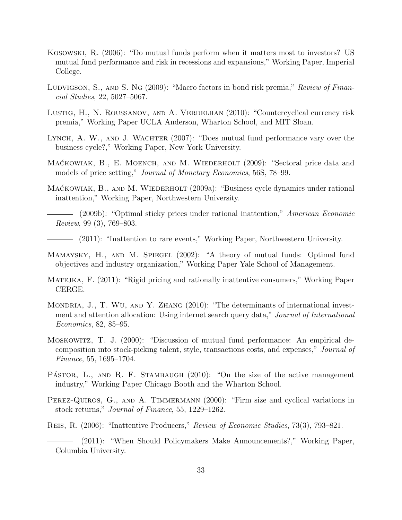- Kosowski, R. (2006): "Do mutual funds perform when it matters most to investors? US mutual fund performance and risk in recessions and expansions," Working Paper, Imperial College.
- Ludvigson, S., and S. Ng (2009): "Macro factors in bond risk premia," *Review of Financial Studies*, 22, 5027–5067.
- Lustig, H., N. ROUSSANOV, AND A. VERDELHAN (2010): "Countercyclical currency risk premia," Working Paper UCLA Anderson, Wharton School, and MIT Sloan.
- LYNCH, A. W., AND J. WACHTER (2007): "Does mutual fund performance vary over the business cycle?," Working Paper, New York University.
- MACKOWIAK, B., E. MOENCH, AND M. WIEDERHOLT (2009): "Sectoral price data and models of price setting," *Journal of Monetary Economics*, 56S, 78–99.
- MACKOWIAK, B., AND M. WIEDERHOLT (2009a): "Business cycle dynamics under rational inattention," Working Paper, Northwestern University.

(2009b): "Optimal sticky prices under rational inattention," *American Economic Review*, 99 (3), 769–803.

- (2011): "Inattention to rare events," Working Paper, Northwestern University.
- MAMAYSKY, H., AND M. SPIEGEL (2002): "A theory of mutual funds: Optimal fund objectives and industry organization," Working Paper Yale School of Management.
- MATEJKA, F. (2011): "Rigid pricing and rationally inattentive consumers," Working Paper CERGE.
- MONDRIA, J., T. WU, AND Y. ZHANG (2010): "The determinants of international investment and attention allocation: Using internet search query data," *Journal of International Economics*, 82, 85–95.
- Moskowitz, T. J. (2000): "Discussion of mutual fund performance: An empirical decomposition into stock-picking talent, style, transactions costs, and expenses," *Journal of Finance*, 55, 1695–1704.
- PÁSTOR, L., AND R. F. STAMBAUGH  $(2010)$ : "On the size of the active management industry," Working Paper Chicago Booth and the Wharton School.
- PEREZ-QUIROS, G., AND A. TIMMERMANN (2000): "Firm size and cyclical variations in stock returns," *Journal of Finance*, 55, 1229–1262.
- Reis, R. (2006): "Inattentive Producers," *Review of Economic Studies*, 73(3), 793–821.

<sup>(2011): &</sup>quot;When Should Policymakers Make Announcements?," Working Paper, Columbia University.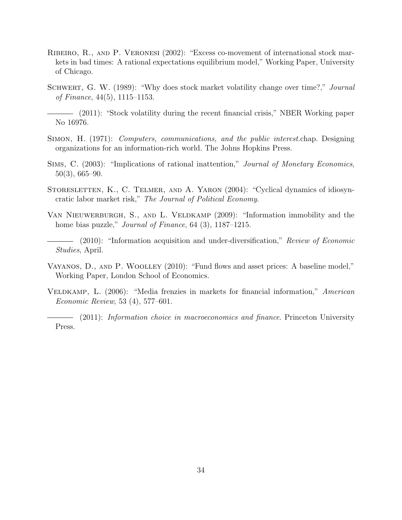- Ribeiro, R., and P. Veronesi (2002): "Excess co-movement of international stock markets in bad times: A rational expectations equilibrium model," Working Paper, University of Chicago.
- Schwert, G. W. (1989): "Why does stock market volatility change over time?," *Journal of Finance*, 44(5), 1115–1153.

(2011): "Stock volatility during the recent financial crisis," NBER Working paper No 16976.

- Simon, H. (1971): *Computers, communications, and the public interest.*chap. Designing organizations for an information-rich world. The Johns Hopkins Press.
- Sims, C. (2003): "Implications of rational inattention," *Journal of Monetary Economics*, 50(3), 665–90.
- STORESLETTEN, K., C. TELMER, AND A. YARON (2004): "Cyclical dynamics of idiosyncratic labor market risk," *The Journal of Political Economy*.
- VAN NIEUWERBURGH, S., AND L. VELDKAMP (2009): "Information immobility and the home bias puzzle," *Journal of Finance*, 64 (3), 1187–1215.
- (2010): "Information acquisition and under-diversification," *Review of Economic Studies*, April.
- VAYANOS, D., AND P. WOOLLEY (2010): "Fund flows and asset prices: A baseline model," Working Paper, London School of Economics.
- Veldkamp, L. (2006): "Media frenzies in markets for financial information," *American Economic Review*, 53 (4), 577–601.

(2011): *Information choice in macroeconomics and finance*. Princeton University Press.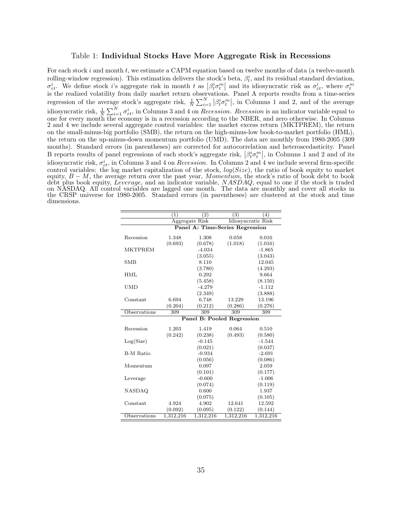#### Table 1: **Individual Stocks Have More Aggregate Risk in Recessions**

For each stock *i* and month *t*, we estimate a CAPM equation based on twelve months of data (a twelve-month rolling-window regression). This estimation delivers the stock's beta,  $\beta_t^i$ , and its residual standard deviation, roning-window regression). This estimation derivers the stock s beta,  $\rho_t$ , and its residual standard deviation,<br> $\sigma_{\varepsilon t}^i$ . We define stock *i*'s aggregate risk in month *t* as  $|\beta_t^i \sigma_t^m|$  and its idiosyncratic ris regression of the average stock's aggregate risk,  $\frac{1}{N}\sum_{i=1}^{N}|\beta_t^i\sigma_t^m|$ , in Columns 1 and 2, and of the average idiosyncratic risk,  $\frac{1}{N} \sum_{i=1}^{N} \sigma_{\varepsilon t}^{i}$ , in Columns 3 and 4 on *Recession*. *Recession* is an indicator variable equal to one for every month the economy is in a recession according to the NBER, and zero otherwise. In Columns 2 and 4 we include several aggregate control variables: the market excess return (MKTPREM), the return on the small-minus-big portfolio (SMB), the return on the high-minus-low book-to-market portfolio (HML), the return on the up-minus-down momentum portfolio (UMD). The data are monthly from 1980-2005 (309 months). Standard errors (in parentheses) are corrected for autocorrelation and heteroscedasticity. Panel B reports results of panel regressions of each stock's aggregate risk,  $\left|\beta_t^i \sigma_t^m\right|$ , in Columns 1 and 2 and of its idiosyncratic risk,  $\sigma_{\varepsilon t}^i$ , in Columns 3 and 4 on *Recession*. In Columns 2 and 4 we include several firm-specific control variables: the log market capitalization of the stock, *log*(*Size*), the ratio of book equity to market equity, *B − M*, the average return over the past year, *Momentum*, the stock's ratio of book debt to book debt plus book equity, *Leverage*, and an indicator variable, *NASDAQ*, equal to one if the stock is traded on NASDAQ. All control variables are lagged one month. The data are monthly and cover all stocks in the CRSP universe for 1980-2005. Standard errors (in parentheses) are clustered at the stock and time dimensions.

|                  | (1)                                  | (2)       | (3)       | (4)       |  |  |  |  |  |
|------------------|--------------------------------------|-----------|-----------|-----------|--|--|--|--|--|
|                  | Aggregate Risk<br>Idiosyncratic Risk |           |           |           |  |  |  |  |  |
|                  | Panel A: Time-Series Regression      |           |           |           |  |  |  |  |  |
| Recession        | 1.348                                | 1.308     | 0.058     | 0.016     |  |  |  |  |  |
|                  | (0.693)                              | (0.678)   | (1.018)   | (1.016)   |  |  |  |  |  |
| <b>MKTPREM</b>   |                                      | $-4.034$  |           | $-1.865$  |  |  |  |  |  |
|                  |                                      | (3.055)   |           | (3.043)   |  |  |  |  |  |
| <b>SMB</b>       |                                      | 8.110     |           | 12.045    |  |  |  |  |  |
|                  |                                      | (3.780)   |           | (4.293)   |  |  |  |  |  |
| <b>HML</b>       |                                      | 0.292     |           | 9.664     |  |  |  |  |  |
|                  |                                      | (5.458)   |           | (8.150)   |  |  |  |  |  |
| <b>UMD</b>       |                                      | $-4.279$  |           | $-1.112$  |  |  |  |  |  |
|                  |                                      | (2.349)   |           | (3.888)   |  |  |  |  |  |
| Constant         | 6.694                                | 6.748     | 13.229    | 13.196    |  |  |  |  |  |
|                  | (0.204)                              | (0.212)   | (0.286)   | (0.276)   |  |  |  |  |  |
| Observations     | 309                                  | 309       | 309       | 309       |  |  |  |  |  |
|                  | Panel B: Pooled Regression           |           |           |           |  |  |  |  |  |
| Recession        | 1.203                                | 1.419     | 0.064     | 0.510     |  |  |  |  |  |
|                  | (0.242)                              | (0.238)   | (0.493)   | (0.580)   |  |  |  |  |  |
| Log(Size)        |                                      | $-0.145$  |           | $-1.544$  |  |  |  |  |  |
|                  |                                      | (0.021)   |           | (0.037)   |  |  |  |  |  |
| <b>B-M Ratio</b> |                                      | $-0.934$  |           | $-2.691$  |  |  |  |  |  |
|                  |                                      | (0.056)   |           | (0.086)   |  |  |  |  |  |
| Momentum         |                                      | 0.097     |           | 2.059     |  |  |  |  |  |
|                  |                                      | (0.101)   |           | (0.177)   |  |  |  |  |  |
| Leverage         |                                      | $-0.600$  |           | $-1.006$  |  |  |  |  |  |
|                  |                                      | (0.074)   |           | (0.119)   |  |  |  |  |  |
| <b>NASDAQ</b>    |                                      | 0.600     |           | 1.937     |  |  |  |  |  |
|                  |                                      | (0.075)   |           | (0.105)   |  |  |  |  |  |
| Constant         | 4.924                                | 4.902     | 12.641    | 12.592    |  |  |  |  |  |
|                  | (0.092)                              | (0.095)   | (0.122)   | (0.144)   |  |  |  |  |  |
| Observations     | 1,312,216                            | 1,312,216 | 1,312,216 | 1,312,216 |  |  |  |  |  |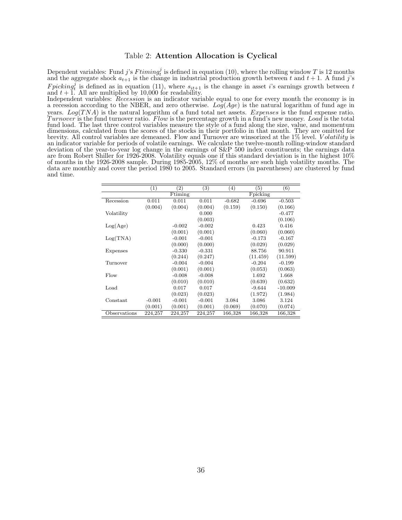Dependent variables: Fund *j*'s  $F \text{t} \text{t} \text{t} \text{t} \text{t}$  is defined in equation (10), where the rolling window *T* is 12 months and the aggregate shock  $a_{t+1}$  is the change in industrial production growth between t and  $t+1$ . A fund j's *F picking*<sup>*j*</sup> is defined as in equation (11), where  $s_{it+1}$  is the change in asset *i*'s earnings growth between *t* and  $t + 1$ . All are multiplied by 10,000 for readability.

Independent variables: *Recession* is an indicator variable equal to one for every month the economy is in a recession according to the NBER, and zero otherwise. *Log*(*Age*) is the natural logarithm of fund age in years. *Log*(*T NA*) is the natural logarithm of a fund total net assets. *Expenses* is the fund expense ratio. *T urnover* is the fund turnover ratio. *Flow* is the percentage growth in a fund's new money. *Load* is the total fund load. The last three control variables measure the style of a fund along the size, value, and momentum dimensions, calculated from the scores of the stocks in their portfolio in that month. They are omitted for brevity. All control variables are demeaned. Flow and Turnover are winsorized at the 1% level. *V olatility* is an indicator variable for periods of volatile earnings. We calculate the twelve-month rolling-window standard deviation of the year-to-year log change in the earnings of S&P 500 index constituents; the earnings data are from Robert Shiller for 1926-2008. Volatility equals one if this standard deviation is in the highest 10% of months in the 1926-2008 sample. During 1985-2005, 12% of months are such high volatility months. The data are monthly and cover the period 1980 to 2005. Standard errors (in parentheses) are clustered by fund and time.

|              | $\left(1\right)$ | $\left( 2\right)$ | $\left( 3\right)$ | $\left( 4\right)$ | (5)      | $\left( 6\right)$ |
|--------------|------------------|-------------------|-------------------|-------------------|----------|-------------------|
|              |                  | Ftiming           |                   |                   | Fpicking |                   |
| Recession    | 0.011            | 0.011             | 0.011             | $-0.682$          | $-0.696$ | $-0.503$          |
|              | (0.004)          | (0.004)           | (0.004)           | (0.159)           | (0.150)  | (0.166)           |
| Volatility   |                  |                   | 0.000             |                   |          | $-0.477$          |
|              |                  |                   | (0.003)           |                   |          | (0.106)           |
| Log(Age)     |                  | $-0.002$          | $-0.002$          |                   | 0.423    | 0.416             |
|              |                  | (0.001)           | (0.001)           |                   | (0.060)  | (0.060)           |
| Log(TNA)     |                  | $-0.001$          | $-0.001$          |                   | $-0.173$ | $-0.167$          |
|              |                  | (0.000)           | (0.000)           |                   | (0.029)  | (0.029)           |
| Expenses     |                  | $-0.330$          | $-0.331$          |                   | 88.756   | 90.911            |
|              |                  | (0.244)           | (0.247)           |                   | (11.459) | (11.599)          |
| Turnover     |                  | $-0.004$          | $-0.004$          |                   | $-0.204$ | $-0.199$          |
|              |                  | (0.001)           | (0.001)           |                   | (0.053)  | (0.063)           |
| Flow         |                  | $-0.008$          | $-0.008$          |                   | 1.692    | 1.668             |
|              |                  | (0.010)           | (0.010)           |                   | (0.639)  | (0.632)           |
| Load         |                  | 0.017             | 0.017             |                   | $-9.644$ | $-10.009$         |
|              |                  | (0.023)           | (0.023)           |                   | (1.972)  | (1.984)           |
| Constant     | $-0.001$         | $-0.001$          | $-0.001$          | 3.084             | 3.086    | 3.124             |
|              | (0.001)          | (0.001)           | (0.001)           | (0.069)           | (0.070)  | (0.074)           |
| Observations | 224,257          | 224,257           | 224,257           | 166,328           | 166,328  | 166,328           |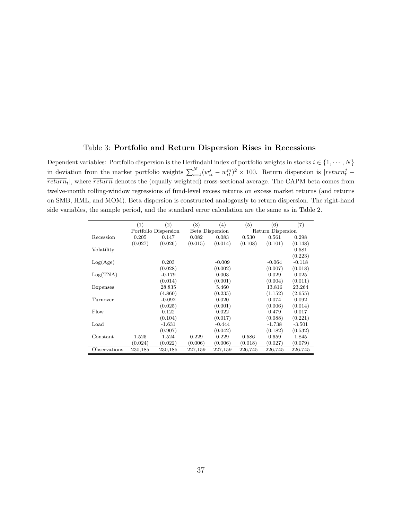#### Table 3: **Portfolio and Return Dispersion Rises in Recessions**

Dependent variables: Portfolio dispersion is the Herfindahl index of portfolio weights in stocks  $i \in \{1, \dots, N\}$ in deviation from the market portfolio weights  $\sum_{i=1}^{N} (w_{it}^j - w_{it}^m)^2 \times 100$ . Return dispersion is  $|return_i^j$ *returnt|*, where *return* denotes the (equally weighted) cross-sectional average. The CAPM beta comes from twelve-month rolling-window regressions of fund-level excess returns on excess market returns (and returns on SMB, HML, and MOM). Beta dispersion is constructed analogously to return dispersion. The right-hand side variables, the sample period, and the standard error calculation are the same as in Table 2.

|              | (1)     | (2)                  | (3)     | $^{(4)}$        | (5)               | (6)      | (7)      |  |
|--------------|---------|----------------------|---------|-----------------|-------------------|----------|----------|--|
|              |         | Portfolio Dispersion |         | Beta Dispersion | Return Dispersion |          |          |  |
| Recession    | 0.205   | 0.147                | 0.082   | 0.083           | 0.530             | 0.561    | 0.298    |  |
|              | (0.027) | (0.026)              | (0.015) | (0.014)         | (0.108)           | (0.101)  | (0.148)  |  |
| Volatility   |         |                      |         |                 |                   |          | 0.581    |  |
|              |         |                      |         |                 |                   |          | (0.223)  |  |
| Log(Age)     |         | 0.203                |         | $-0.009$        |                   | $-0.064$ | $-0.118$ |  |
|              |         | (0.028)              |         | (0.002)         |                   | (0.007)  | (0.018)  |  |
| Log(TNA)     |         | $-0.179$             |         | 0.003           |                   | 0.029    | 0.025    |  |
|              |         | (0.014)              |         | (0.001)         |                   | (0.004)  | (0.011)  |  |
| Expenses     |         | 28.835               |         | 5.460           |                   | 13.816   | 23.264   |  |
|              |         | (4.860)              |         | (0.235)         |                   | (1.152)  | (2.655)  |  |
| Turnover     |         | $-0.092$             |         | 0.020           |                   | 0.074    | 0.092    |  |
|              |         | (0.025)              |         | (0.001)         |                   | (0.006)  | (0.014)  |  |
| Flow         |         | 0.122                |         | 0.022           |                   | 0.479    | 0.017    |  |
|              |         | (0.104)              |         | (0.017)         |                   | (0.088)  | (0.221)  |  |
| Load         |         | $-1.631$             |         | $-0.444$        |                   | $-1.738$ | $-3.501$ |  |
|              |         | (0.907)              |         | (0.042)         |                   | (0.182)  | (0.532)  |  |
| Constant     | 1.525   | 1.524                | 0.229   | 0.229           | 0.586             | 0.659    | 1.845    |  |
|              | (0.024) | (0.022)              | (0.006) | (0.006)         | (0.018)           | (0.027)  | (0.079)  |  |
| Observations | 230,185 | 230,185              | 227,159 | 227,159         | 226,745           | 226,745  | 226,745  |  |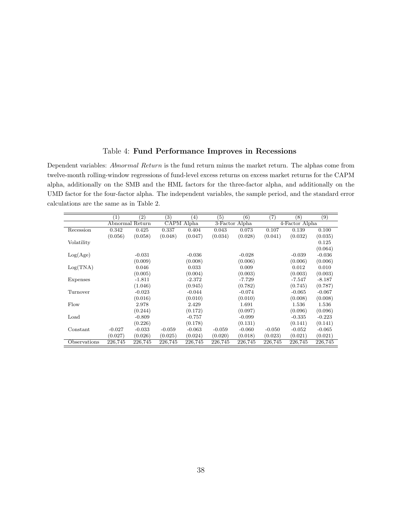#### Table 4: **Fund Performance Improves in Recessions**

Dependent variables: *Abnormal Return* is the fund return minus the market return. The alphas come from twelve-month rolling-window regressions of fund-level excess returns on excess market returns for the CAPM alpha, additionally on the SMB and the HML factors for the three-factor alpha, and additionally on the UMD factor for the four-factor alpha. The independent variables, the sample period, and the standard error calculations are the same as in Table 2.

|              | (1)      | $\left( 2\right)$ | (3)        | $\left(4\right)$ | (5)            | (6)      | (7)            | (8)      | (9)      |
|--------------|----------|-------------------|------------|------------------|----------------|----------|----------------|----------|----------|
|              |          | Abnormal Return   | CAPM Alpha |                  | 3-Factor Alpha |          | 4-Factor Alpha |          |          |
| Recession    | 0.342    | 0.425             | 0.337      | 0.404            | 0.043          | 0.073    | 0.107          | 0.139    | 0.100    |
|              | (0.056)  | (0.058)           | (0.048)    | (0.047)          | (0.034)        | (0.028)  | (0.041)        | (0.032)  | (0.035)  |
| Volatility   |          |                   |            |                  |                |          |                |          | 0.125    |
|              |          |                   |            |                  |                |          |                |          | (0.064)  |
| Log(Age)     |          | $-0.031$          |            | $-0.036$         |                | $-0.028$ |                | $-0.039$ | $-0.036$ |
|              |          | (0.009)           |            | (0.008)          |                | (0.006)  |                | (0.006)  | (0.006)  |
| Log(TNA)     |          | 0.046             |            | 0.033            |                | 0.009    |                | 0.012    | 0.010    |
|              |          | (0.005)           |            | (0.004)          |                | (0.003)  |                | (0.003)  | (0.003)  |
| Expenses     |          | $-1.811$          |            | $-2.372$         |                | $-7.729$ |                | $-7.547$ | $-8.187$ |
|              |          | (1.046)           |            | (0.945)          |                | (0.782)  |                | (0.745)  | (0.787)  |
| Turnover     |          | $-0.023$          |            | $-0.044$         |                | $-0.074$ |                | $-0.065$ | $-0.067$ |
|              |          | (0.016)           |            | (0.010)          |                | (0.010)  |                | (0.008)  | (0.008)  |
| Flow         |          | 2.978             |            | 2.429            |                | 1.691    |                | 1.536    | 1.536    |
|              |          | (0.244)           |            | (0.172)          |                | (0.097)  |                | (0.096)  | (0.096)  |
| Load         |          | $-0.809$          |            | $-0.757$         |                | $-0.099$ |                | $-0.335$ | $-0.223$ |
|              |          | (0.226)           |            | (0.178)          |                | (0.131)  |                | (0.141)  | (0.141)  |
| Constant     | $-0.027$ | $-0.033$          | $-0.059$   | $-0.063$         | $-0.059$       | $-0.060$ | $-0.050$       | $-0.052$ | $-0.065$ |
|              | (0.027)  | (0.026)           | (0.025)    | (0.024)          | (0.020)        | (0.018)  | (0.023)        | (0.021)  | (0.021)  |
| Observations | 226,745  | 226,745           | 226,745    | 226,745          | 226,745        | 226,745  | 226,745        | 226,745  | 226,745  |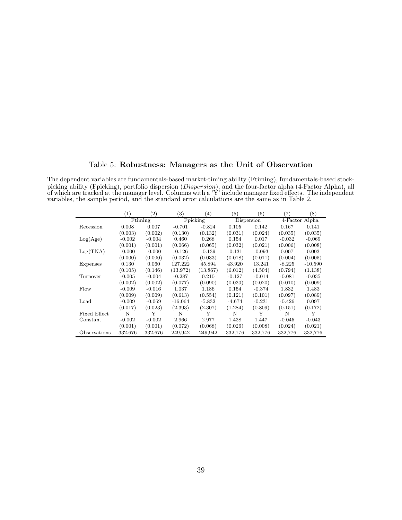#### Table 5: **Robustness: Managers as the Unit of Observation**

The dependent variables are fundamentals-based market-timing ability (Ftiming), fundamentals-based stockpicking ability (Fpicking), portfolio dispersion (*Dispersion*), and the four-factor alpha (4-Factor Alpha), all of which are tracked at the manager level. Columns with a ' $\check{Y}$ ' include manager fixed effects. The independent variables, the sample period, and the standard error calculations are the same as in Table 2.

|              | $\left( 1\right)$ | $\left( 2\right)$ | (3)       | $\left( 4\right)$ | (5)        | (6)      | (7)            | (8)      |
|--------------|-------------------|-------------------|-----------|-------------------|------------|----------|----------------|----------|
|              |                   | Ftiming           | Fpicking  |                   | Dispersion |          | 4-Factor Alpha |          |
| Recession    | 0.008             | 0.007             | $-0.701$  | $-0.824$          | 0.105      | 0.142    | 0.167          | 0.141    |
|              | (0.003)           | (0.002)           | (0.130)   | (0.132)           | (0.031)    | (0.024)  | (0.035)        | (0.035)  |
| Log(Age)     | $-0.002$          | $-0.004$          | 0.460     | 0.268             | 0.154      | 0.017    | $-0.032$       | $-0.069$ |
|              | (0.001)           | (0.001)           | (0.066)   | (0.065)           | (0.032)    | (0.021)  | (0.006)        | (0.008)  |
| Log(TNA)     | $-0.000$          | $-0.000$          | $-0.126$  | $-0.139$          | $-0.131$   | $-0.093$ | 0.007          | 0.003    |
|              | (0.000)           | (0.000)           | (0.032)   | (0.033)           | (0.018)    | (0.011)  | (0.004)        | (0.005)  |
| Expenses     | 0.130             | 0.060             | 127.222   | 45.894            | 43.920     | 13.241   | $-8.225$       | -10.590  |
|              | (0.105)           | (0.146)           | (13.972)  | (13.867)          | (6.012)    | (4.504)  | (0.794)        | (1.138)  |
| Turnover     | $-0.005$          | $-0.004$          | $-0.287$  | 0.210             | $-0.127$   | $-0.014$ | $-0.081$       | $-0.035$ |
|              | (0.002)           | (0.002)           | (0.077)   | (0.090)           | (0.030)    | (0.020)  | (0.010)        | (0.009)  |
| Flow         | $-0.009$          | $-0.016$          | 1.037     | 1.186             | 0.154      | $-0.374$ | 1.832          | 1.483    |
|              | (0.009)           | (0.009)           | (0.613)   | (0.554)           | (0.121)    | (0.101)  | (0.097)        | (0.089)  |
| Load         | $-0.009$          | $-0.069$          | $-16.064$ | $-5.832$          | $-4.674$   | $-0.231$ | $-0.426$       | 0.097    |
|              | (0.017)           | (0.023)           | (2.393)   | (2.307)           | (1.284)    | (0.809)  | (0.151)        | (0.172)  |
| Fixed Effect | N                 | Y                 | N         | Y                 | N          | Y        | N              | Y        |
| Constant     | $-0.002$          | $-0.002$          | 2.966     | 2.977             | 1.438      | 1.447    | $-0.045$       | $-0.043$ |
|              | (0.001)           | (0.001)           | (0.072)   | (0.068)           | (0.026)    | (0.008)  | (0.024)        | (0.021)  |
| Observations | 332,676           | 332,676           | 249,942   | 249,942           | 332,776    | 332,776  | 332,776        | 332,776  |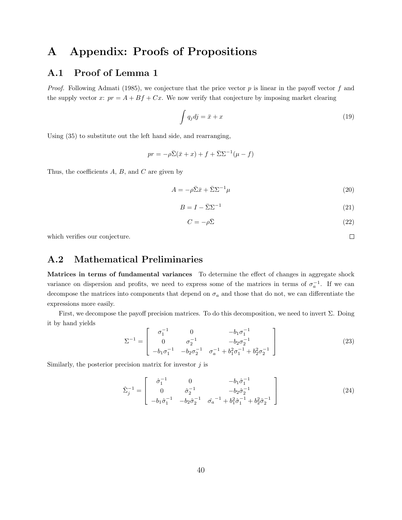# **A Appendix: Proofs of Propositions**

### **A.1 Proof of Lemma 1**

*Proof.* Following Admati (1985), we conjecture that the price vector *p* is linear in the payoff vector *f* and the supply vector *x*:  $pr = A + Bf + Cx$ . We now verify that conjecture by imposing market clearing

$$
\int q_j \, dj = \bar{x} + x \tag{19}
$$

Using (35) to substitute out the left hand side, and rearranging,

$$
pr = -\rho \bar{\Sigma}(\bar{x} + x) + f + \bar{\Sigma} \Sigma^{-1}(\mu - f)
$$

Thus, the coefficients *A*, *B*, and *C* are given by

$$
A = -\rho \bar{\Sigma}\bar{x} + \bar{\Sigma}\Sigma^{-1}\mu
$$
\n(20)

$$
B = I - \bar{\Sigma} \Sigma^{-1} \tag{21}
$$

$$
C = -\rho \bar{\Sigma} \tag{22}
$$

which verifies our conjecture.

### **A.2 Mathematical Preliminaries**

**Matrices in terms of fundamental variances** To determine the effect of changes in aggregate shock variance on dispersion and profits, we need to express some of the matrices in terms of  $\sigma_a^{-1}$ . If we can decompose the matrices into components that depend on  $\sigma_a$  and those that do not, we can differentiate the expressions more easily.

First, we decompose the payoff precision matrices. To do this decomposition, we need to invert  $\Sigma$ . Doing it by hand yields

$$
\Sigma^{-1} = \begin{bmatrix} \sigma_1^{-1} & 0 & -b_1 \sigma_1^{-1} \\ 0 & \sigma_2^{-1} & -b_2 \sigma_2^{-1} \\ -b_1 \sigma_1^{-1} & -b_2 \sigma_2^{-1} & \sigma_a^{-1} + b_1^2 \sigma_1^{-1} + b_2^2 \sigma_2^{-1} \end{bmatrix}
$$
(23)

Similarly, the posterior precision matrix for investor *j* is

$$
\hat{\Sigma}_j^{-1} = \begin{bmatrix} \hat{\sigma}_1^{-1} & 0 & -b_1 \hat{\sigma}_1^{-1} \\ 0 & \hat{\sigma}_2^{-1} & -b_2 \hat{\sigma}_2^{-1} \\ -b_1 \hat{\sigma}_1^{-1} & -b_2 \hat{\sigma}_2^{-1} & \hat{\sigma}_a^{-1} + b_1^2 \hat{\sigma}_1^{-1} + b_2^2 \hat{\sigma}_2^{-1} \end{bmatrix}
$$
(24)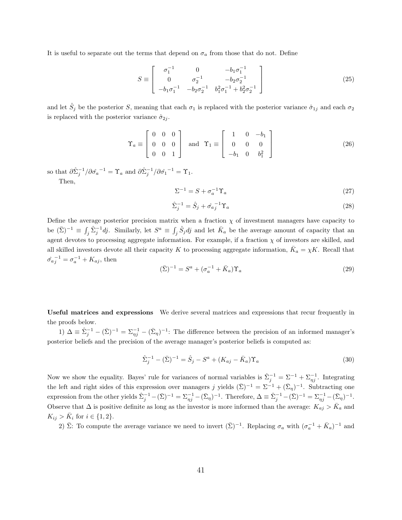It is useful to separate out the terms that depend on  $\sigma_a$  from those that do not. Define

$$
S \equiv \begin{bmatrix} \sigma_1^{-1} & 0 & -b_1 \sigma_1^{-1} \\ 0 & \sigma_2^{-1} & -b_2 \sigma_2^{-1} \\ -b_1 \sigma_1^{-1} & -b_2 \sigma_2^{-1} & b_1^2 \sigma_1^{-1} + b_2^2 \sigma_2^{-1} \end{bmatrix}
$$
 (25)

and let  $\hat{S}_j$  be the posterior *S*, meaning that each  $\sigma_1$  is replaced with the posterior variance  $\hat{\sigma}_{1j}$  and each  $\sigma_2$ is replaced with the posterior variance  $\hat{\sigma}_{2j}$ .

$$
\Upsilon_a \equiv \begin{bmatrix} 0 & 0 & 0 \\ 0 & 0 & 0 \\ 0 & 0 & 1 \end{bmatrix} \text{ and } \Upsilon_1 \equiv \begin{bmatrix} 1 & 0 & -b_1 \\ 0 & 0 & 0 \\ -b_1 & 0 & b_1^2 \end{bmatrix}
$$
 (26)

so that  $\partial \hat{\Sigma}_j^{-1} / \partial \hat{\sigma}_a^{-1} = \Upsilon_a$  and  $\partial \hat{\Sigma}_j^{-1} / \partial \hat{\sigma}_1^{-1} = \Upsilon_1$ . Then,

$$
\Sigma^{-1} = S + \sigma_a^{-1} \Upsilon_a \tag{27}
$$

$$
\hat{\Sigma}_j^{-1} = \hat{S}_j + \hat{\sigma}_{a_j}^{-1} \Upsilon_a \tag{28}
$$

Define the average posterior precision matrix when a fraction  $\chi$  of investment managers have capacity to  $\int_{\mathcal{I}}^{\mathcal{I}} \hat{\Sigma}_{j}^{-1} d\mathcal{I}$ . Similarly, let  $S^{a} \equiv \int_{j} \hat{S}_{j} d\mathcal{I}$  and let  $\bar{K}_{a}$  be the average amount of capacity that an agent devotes to processing aggregate information. For example, if a fraction *χ* of investors are skilled, and all skilled investors devote all their capacity *K* to processing aggregate information,  $\bar{K}_a = \chi K$ . Recall that  $\hat{\sigma_{a}}_{j}^{-1} = \sigma_{a}^{-1} + K_{aj}$ , then

$$
(\bar{\Sigma})^{-1} = S^a + (\sigma_a^{-1} + \bar{K}_a) \Upsilon_a \tag{29}
$$

**Useful matrices and expressions** We derive several matrices and expressions that recur frequently in the proofs below.

1)  $\Delta \equiv \hat{\Sigma}_j^{-1} - (\bar{\Sigma})^{-1} = \Sigma_{\eta j}^{-1} - (\bar{\Sigma}_{\eta})^{-1}$ : The difference between the precision of an informed manager's posterior beliefs and the precision of the average manager's posterior beliefs is computed as:

$$
\hat{\Sigma}_j^{-1} - (\bar{\Sigma})^{-1} = \hat{S}_j - S^a + (K_{aj} - \bar{K}_a) \Upsilon_a \tag{30}
$$

Now we show the equality. Bayes' rule for variances of normal variables is  $\hat{\Sigma}_{j}^{-1} = \Sigma^{-1} + \Sigma_{\eta j}^{-1}$ . Integrating the left and right sides of this expression over managers *j* yields  $(\bar{\Sigma})^{-1} = \Sigma^{-1} + (\bar{\Sigma}_{\eta})^{-1}$ . Subtracting one expression from the other yields  $\hat{\Sigma}_{j}^{-1} - (\bar{\Sigma})^{-1} = \Sigma_{\eta j}^{-1} - (\bar{\Sigma}_{\eta})^{-1}$ . Therefore,  $\Delta \equiv \hat{\Sigma}_{j}^{-1} - (\bar{\Sigma})^{-1} = \Sigma_{\eta j}^{-1} - (\bar{\Sigma}_{\eta})^{-1}$ . Observe that  $\Delta$  is positive definite as long as the investor is more informed than the average:  $K_{aj} > \bar{K}_a$  and  $K_{ij} > \bar{K}_i$  for  $i \in \{1, 2\}.$ 

2)  $\bar{\Sigma}$ : To compute the average variance we need to invert  $(\bar{\Sigma})^{-1}$ . Replacing  $\sigma_a$  with  $(\sigma_a^{-1} + \bar{K}_a)^{-1}$  and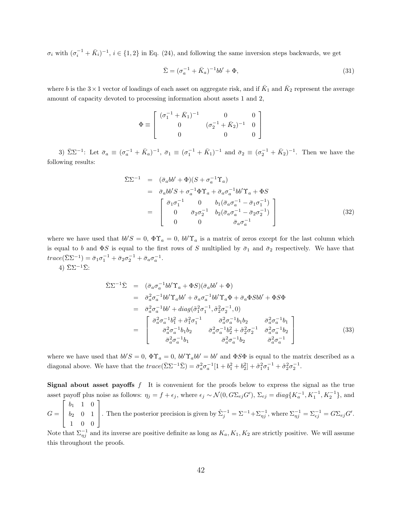$\sigma_i$  with  $(\sigma_i^{-1} + \bar{K}_i)^{-1}$ ,  $i \in \{1, 2\}$  in Eq. (24), and following the same inversion steps backwards, we get

$$
\bar{\Sigma} = (\sigma_a^{-1} + \bar{K}_a)^{-1} b b' + \Phi,
$$
\n(31)

where *b* is the  $3 \times 1$  vector of loadings of each asset on aggregate risk, and if  $\bar{K}_1$  and  $\bar{K}_2$  represent the average amount of capacity devoted to processing information about assets 1 and 2,

$$
\Phi \equiv \left[ \begin{array}{ccc} (\sigma_1^{-1} + \bar{K}_1)^{-1} & 0 & 0 \\ 0 & (\sigma_2^{-1} + \bar{K}_2)^{-1} & 0 \\ 0 & 0 & 0 \end{array} \right]
$$

3)  $\bar{\Sigma}\Sigma^{-1}$ : Let  $\bar{\sigma}_a \equiv (\sigma_a^{-1} + \bar{K}_a)^{-1}$ ,  $\bar{\sigma}_1 \equiv (\sigma_1^{-1} + \bar{K}_1)^{-1}$  and  $\bar{\sigma}_2 \equiv (\sigma_2^{-1} + \bar{K}_2)^{-1}$ . Then we have the following results:

$$
\begin{split} \bar{\Sigma} \Sigma^{-1} &= (\bar{\sigma}_a b b' + \Phi)(S + \sigma_a^{-1} \Upsilon_a) \\ &= \bar{\sigma}_a b b' S + \sigma_a^{-1} \Phi \Upsilon_a + \bar{\sigma}_a \sigma_a^{-1} b b' \Upsilon_a + \Phi S \\ &= \begin{bmatrix} \bar{\sigma}_1 \sigma_1^{-1} & 0 & b_1 (\bar{\sigma}_a \sigma_a^{-1} - \bar{\sigma}_1 \sigma_1^{-1}) \\ 0 & \bar{\sigma}_2 \sigma_2^{-1} & b_2 (\bar{\sigma}_a \sigma_a^{-1} - \bar{\sigma}_2 \sigma_2^{-1}) \\ 0 & 0 & \bar{\sigma}_a \sigma_a^{-1} \end{bmatrix} \end{split} \tag{32}
$$

where we have used that  $bb'S = 0$ ,  $\Phi \Upsilon_a = 0$ ,  $bb' \Upsilon_a$  is a matrix of zeros except for the last column which is equal to *b* and  $\Phi S$  is equal to the first rows of *S* multiplied by  $\bar{\sigma}_1$  and  $\bar{\sigma}_2$  respectively. We have that  $trace(\bar{\Sigma}\Sigma^{-1}) = \bar{\sigma}_1 \sigma_1^{-1} + \bar{\sigma}_2 \sigma_2^{-1} + \bar{\sigma}_a \sigma_a^{-1}.$ 

4)  $\bar{\Sigma} \Sigma^{-1} \bar{\Sigma}$ :

1 0 0

$$
\begin{split}\n\bar{\Sigma}\Sigma^{-1}\bar{\Sigma} &= (\bar{\sigma}_a \sigma_a^{-1} b b' \Upsilon_a + \Phi S)(\bar{\sigma}_a b b' + \Phi) \\
&= \bar{\sigma}_a^2 \sigma_a^{-1} b b' \Upsilon_a b b' + \bar{\sigma}_a \sigma_a^{-1} b b' \Upsilon_a \Phi + \bar{\sigma}_a \Phi S b b' + \Phi S \Phi \\
&= \bar{\sigma}_a^2 \sigma_a^{-1} b b' + diag(\tilde{\sigma}_1^2 \sigma_1^{-1}, \tilde{\sigma}_2^2 \sigma_2^{-1}, 0) \\
&= \begin{bmatrix}\n\bar{\sigma}_a^2 \sigma_a^{-1} b_1^2 + \tilde{\sigma}_1^2 \sigma_1^{-1} & \bar{\sigma}_a^2 \sigma_a^{-1} b_1 b_2 & \bar{\sigma}_a^2 \sigma_a^{-1} b_1 \\
\bar{\sigma}_a^2 \sigma_a^{-1} b_1 b_2 & \bar{\sigma}_a^2 \sigma_a^{-1} b_2^2 + \tilde{\sigma}_2^2 \sigma_2^{-1} & \bar{\sigma}_a^2 \sigma_a^{-1} b_2 \\
\bar{\sigma}_a^2 \sigma_a^{-1} b_1 & \bar{\sigma}_a^2 \sigma_a^{-1} b_2 & \bar{\sigma}_a^2 \sigma_a^{-1}\n\end{bmatrix} \n\end{split} \n(33)
$$

where we have used that  $bb'S = 0$ ,  $\Phi \Upsilon_a = 0$ ,  $bb' \Upsilon_a bb' = bb'$  and  $\Phi S \Phi$  is equal to the matrix described as a diagonal above. We have that the  $trace(\bar{\Sigma}\Sigma^{-1}\bar{\Sigma}) = \bar{\sigma}_a^2 \sigma_a^{-1} [1 + b_1^2 + b_2^2] + \tilde{\sigma}_1^2 \sigma_1^{-1} + \tilde{\sigma}_2^2 \sigma_2^{-1}$ .

**Signal about asset payoffs** *f* It is convenient for the proofs below to express the signal as the true asset payoff plus noise as follows:  $\eta_j = f + \epsilon_j$ , where  $\epsilon_j \sim \mathcal{N}(0, G\Sigma_{ej}G')$ ,  $\Sigma_{ej} = diag\{K_a^{-1}, K_1^{-1}, K_2^{-1}\}$ , and  $G =$  $\sqrt{ }$  $\overline{\phantom{a}}$ *b*<sup>1</sup> 1 0 *b*<sup>2</sup> 0 1 1 . Then the posterior precision is given by  $\hat{\Sigma}_{j}^{-1} = \Sigma^{-1} + \Sigma_{\eta j}^{-1}$ , where  $\Sigma_{\eta j}^{-1} = \Sigma_{\epsilon j}^{-1} = G \Sigma_{\epsilon j} G'$ .

Note that  $\Sigma_{\eta j}^{-1}$  and its inverse are positive definite as long as  $K_a, K_1, K_2$  are strictly positive. We will assume this throughout the proofs.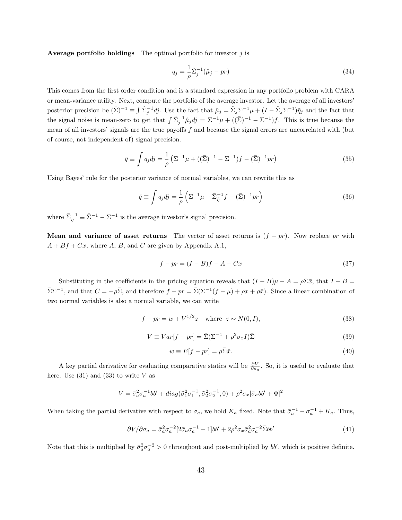**Average portfolio holdings** The optimal portfolio for investor *j* is

$$
q_j = \frac{1}{\rho} \hat{\Sigma}_j^{-1} (\hat{\mu}_j - pr) \tag{34}
$$

This comes from the first order condition and is a standard expression in any portfolio problem with CARA or mean-variance utility. Next, compute the portfolio of the average investor. Let the average of all investors' posterior precision be  $(\bar{\Sigma})^{-1} \equiv \int \hat{\Sigma}_j^{-1} d j$ . Use the fact that  $\hat{\mu}_j = \hat{\Sigma}_j \Sigma^{-1} \mu + (I - \hat{\Sigma}_j \Sigma^{-1}) \tilde{\eta}_j$  and the fact that the signal noise is mean-zero to get that  $\int \hat{\Sigma}_j^{-1} \hat{\mu}_j dj = \Sigma^{-1} \mu + ((\bar{\Sigma})^{-1} - \Sigma^{-1}) f$ . This is true because the mean of all investors' signals are the true payoffs *f* and because the signal errors are uncorrelated with (but of course, not independent of) signal precision.

$$
\bar{q} \equiv \int q_j dj = \frac{1}{\rho} \left( \Sigma^{-1} \mu + ((\bar{\Sigma})^{-1} - \Sigma^{-1}) f - (\bar{\Sigma})^{-1} pr \right) \tag{35}
$$

Using Bayes' rule for the posterior variance of normal variables, we can rewrite this as

$$
\bar{q} \equiv \int q_j dj = \frac{1}{\rho} \left( \Sigma^{-1} \mu + \bar{\Sigma}_{\tilde{\eta}}^{-1} f - (\bar{\Sigma})^{-1} pr \right) \tag{36}
$$

where  $\bar{\Sigma}_{\tilde{\eta}}^{-1} \equiv \bar{\Sigma}^{-1} - \Sigma^{-1}$  is the average investor's signal precision.

**Mean and variance of asset returns** The vector of asset returns is  $(f - pr)$ . Now replace *pr* with  $A + Bf + Cx$ , where *A*, *B*, and *C* are given by Appendix A.1,

$$
f - pr = (I - B)f - A - Cx \tag{37}
$$

Substituting in the coefficients in the pricing equation reveals that  $(I - B)\mu - A = \rho \bar{\Sigma}\bar{x}$ , that  $I - B =$  $\bar{\Sigma}\Sigma^{-1}$ , and that  $C = -\rho\bar{\Sigma}$ , and therefore  $f - pr = \bar{\Sigma}(\Sigma^{-1}(f - \mu) + \rho x + \rho\bar{x})$ . Since a linear combination of two normal variables is also a normal variable, we can write

$$
f - pr = w + V^{1/2}z \quad \text{where } z \sim N(0, I), \tag{38}
$$

$$
V \equiv Var[f - pr] = \bar{\Sigma}(\Sigma^{-1} + \rho^2 \sigma_x I)\bar{\Sigma}
$$
\n(39)

$$
w \equiv E[f - pr] = \rho \bar{\Sigma}\bar{x}.\tag{40}
$$

A key partial derivative for evaluating comparative statics will be  $\frac{\partial V}{\partial \sigma_a}$ . So, it is useful to evaluate that here. Use  $(31)$  and  $(33)$  to write *V* as

$$
V = \bar{\sigma}_a^2 \sigma_a^{-1} bb' + diag(\tilde{\sigma}_1^2 \sigma_1^{-1}, \tilde{\sigma}_2^2 \sigma_2^{-1}, 0) + \rho^2 \sigma_x [\bar{\sigma}_a bb' + \Phi]^2
$$

When taking the partial derivative with respect to  $\sigma_a$ , we hold  $K_a$  fixed. Note that  $\bar{\sigma}_a^{-1} - \sigma_a^{-1} + K_a$ . Thus,

$$
\frac{\partial V}{\partial \sigma_a} = \bar{\sigma}_a^2 \sigma_a^{-2} \left[ 2 \bar{\sigma}_a \sigma_a^{-1} - 1 \right] bb' + 2\rho^2 \sigma_x \bar{\sigma}_a^2 \sigma_a^{-2} \bar{\Sigma} bb' \tag{41}
$$

Note that this is multiplied by  $\bar{\sigma}_a^2 \sigma_a^{-2} > 0$  throughout and post-multiplied by  $bb'$ , which is positive definite.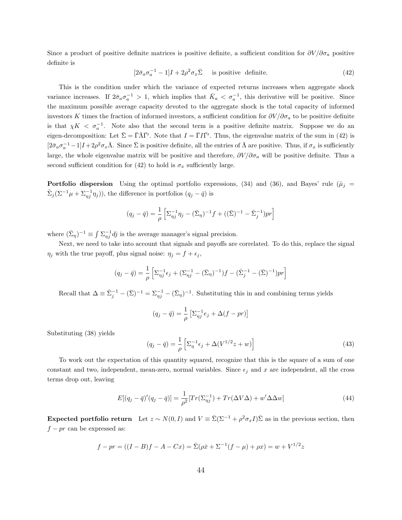Since a product of positive definite matrices is positive definite, a sufficient condition for *∂V /∂σ<sup>a</sup>* positive definite is

$$
[2\bar{\sigma}_a \sigma_a^{-1} - 1]I + 2\rho^2 \sigma_x \bar{\Sigma} \quad \text{is positive definite.} \tag{42}
$$

This is the condition under which the variance of expected returns increases when aggregate shock variance increases. If  $2\bar{\sigma}_a \sigma_a^{-1} > 1$ , which implies that  $\bar{K}_a < \sigma_a^{-1}$ , this derivative will be positive. Since the maximum possible average capacity devoted to the aggregate shock is the total capacity of informed investors *K* times the fraction of informed investors, a sufficient condition for  $\partial V/\partial \sigma_a$  to be positive definite is that  $\chi K < \sigma_a^{-1}$ . Note also that the second term is a positive definite matrix. Suppose we do an eigen-decomposition: Let  $\bar{\Sigma} = \bar{\Gamma} \bar{\Lambda} \bar{\Gamma'}$ . Note that  $I = \bar{\Gamma} I \bar{\Gamma'}$ . Thus, the eigenvalue matrix of the sum in (42) is  $[2\bar{\sigma}_a\sigma_a^{-1}-1]I+2\rho^2\sigma_x\bar{\Lambda}$ . Since  $\bar{\Sigma}$  is positive definite, all the entries of  $\bar{\Lambda}$  are positive. Thus, if  $\sigma_x$  is sufficiently large, the whole eigenvalue matrix will be positive and therefore, *∂V /∂σ<sup>a</sup>* will be positive definite. Thus a second sufficient condition for (42) to hold is  $\sigma_x$  sufficiently large.

**Portfolio dispersion** Using the optimal portfolio expressions, (34) and (36), and Bayes' rule ( $\hat{\mu}_j$  =  $\hat{\Sigma}_j(\Sigma^{-1}\mu + \Sigma_{\eta j}^{-1}\eta_j)$ , the difference in portfolios  $(q_j - \bar{q})$  is

$$
(q_j - \bar{q}) = \frac{1}{\rho} \left[ \sum_{\eta} \bar{\eta}_j - (\bar{\Sigma}_{\eta})^{-1} f + ((\bar{\Sigma})^{-1} - \hat{\Sigma}_{j}^{-1}) pr \right]
$$

where  $(\bar{\Sigma}_{\eta})^{-1} \equiv \int \Sigma_{\eta j}^{-1} d\eta$  is the average manager's signal precision.

Next, we need to take into account that signals and payoffs are correlated. To do this, replace the signal *η*<sup>*j*</sup> with the true payoff, plus signal noise:  $\eta_j = f + \epsilon_j$ ,

$$
(q_j - \bar{q}) = \frac{1}{\rho} \left[ \Sigma_{\eta j}^{-1} \epsilon_j + (\Sigma_{\eta j}^{-1} - (\bar{\Sigma}_{\eta})^{-1}) f - (\hat{\Sigma}_{j}^{-1} - (\bar{\Sigma})^{-1}) p r \right]
$$

Recall that  $\Delta \equiv \hat{\Sigma}_{j}^{-1} - (\bar{\Sigma})^{-1} = \Sigma_{\eta j}^{-1} - (\bar{\Sigma}_{\eta})^{-1}$ . Substituting this in and combining terms yields

$$
(q_j - \bar{q}) = \frac{1}{\rho} \left[ \sum_{j=1}^{-1} e_j + \Delta(f - pr) \right]
$$

Substituting (38) yields

$$
(q_j - \bar{q}) = \frac{1}{\rho} \left[ \Sigma_{\eta}^{-1} \epsilon_j + \Delta (V^{1/2} z + w) \right]
$$
\n
$$
(43)
$$

To work out the expectation of this quantity squared, recognize that this is the square of a sum of one constant and two, independent, mean-zero, normal variables. Since  $\epsilon_j$  and x are independent, all the cross terms drop out, leaving

$$
E[(q_j - \bar{q})'(q_j - \bar{q})] = \frac{1}{\rho^2} [Tr(\Sigma_{\eta j}^{-1}) + Tr(\Delta V \Delta) + w' \Delta \Delta w]
$$
\n(44)

**Expected portfolio return** Let  $z \sim N(0, I)$  and  $V = \overline{\Sigma}(\Sigma^{-1} + \rho^2 \sigma_x I) \overline{\Sigma}$  as in the previous section, then *f − pr* can be expressed as:

$$
f - pr = ((I - B)f - A - Cx) = \bar{\Sigma}(\rho \bar{x} + \Sigma^{-1}(f - \mu) + \rho x) = w + V^{1/2}z
$$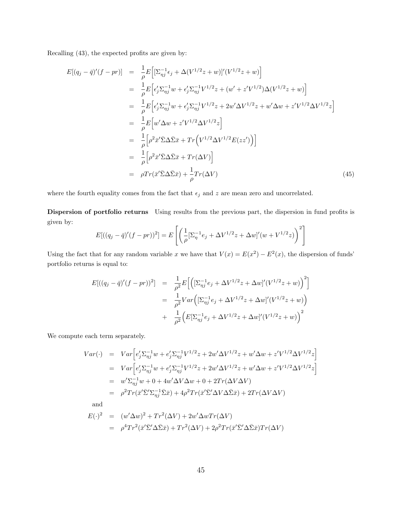Recalling (43), the expected profits are given by:

$$
E[(q_j - \bar{q})'(f - pr)] = \frac{1}{\rho} E\Big[ [\Sigma_{\eta j}^{-1} \epsilon_j + \Delta(V^{1/2} z + w)]'(V^{1/2} z + w) \Big]
$$
  
\n
$$
= \frac{1}{\rho} E\Big[ \epsilon_j' \Sigma_{\eta j}^{-1} w + \epsilon_j' \Sigma_{\eta j}^{-1} V^{1/2} z + (w' + z' V^{1/2}) \Delta(V^{1/2} z + w) \Big]
$$
  
\n
$$
= \frac{1}{\rho} E\Big[ \epsilon_j' \Sigma_{\eta j}^{-1} w + \epsilon_j' \Sigma_{\eta j}^{-1} V^{1/2} z + 2w' \Delta V^{1/2} z + w' \Delta w + z' V^{1/2} \Delta V^{1/2} z \Big]
$$
  
\n
$$
= \frac{1}{\rho} E\Big[ w' \Delta w + z' V^{1/2} \Delta V^{1/2} z \Big]
$$
  
\n
$$
= \frac{1}{\rho} \Big[ \rho^2 \bar{x}' \bar{\Sigma} \Delta \bar{\Sigma} \bar{x} + Tr \Big( V^{1/2} \Delta V^{1/2} E(zz') \Big) \Big]
$$
  
\n
$$
= \frac{1}{\rho} \Big[ \rho^2 \bar{x}' \bar{\Sigma} \Delta \bar{\Sigma} \bar{x} + Tr(\Delta V) \Big]
$$
  
\n
$$
= \rho Tr(\bar{x}' \bar{\Sigma} \Delta \bar{\Sigma} \bar{x}) + \frac{1}{\rho} Tr(\Delta V)
$$
 (45)

where the fourth equality comes from the fact that  $\epsilon_j$  and *z* are mean zero and uncorrelated.

**Dispersion of portfolio returns** Using results from the previous part, the dispersion in fund profits is given by:

$$
E[((q_j - \bar{q})'(f - pr))^2] = E\left[\left(\frac{1}{\rho}[\Sigma_{\eta}^{-1}e_j + \Delta V^{1/2}z + \Delta w]'(w + V^{1/2}z)\right)^2\right]
$$

Using the fact that for any random variable *x* we have that  $V(x) = E(x^2) - E^2(x)$ , the dispersion of funds' portfolio returns is equal to:

$$
E[((q_j - \bar{q})'(f - pr))^2] = \frac{1}{\rho^2} E\Big[\Big([\Sigma_{\eta j}^{-1} e_j + \Delta V^{1/2} z + \Delta w]'(V^{1/2} z + w)\Big)^2\Big]
$$
  

$$
= \frac{1}{\rho^2} Var\Big([\Sigma_{\eta j}^{-1} e_j + \Delta V^{1/2} z + \Delta w]'(V^{1/2} z + w)\Big)
$$
  

$$
+ \frac{1}{\rho^2} \Big(E[\Sigma_{\eta j}^{-1} e_j + \Delta V^{1/2} z + \Delta w]'(V^{1/2} z + w)\Big)^2
$$

We compute each term separately.

$$
Var(\cdot) = Var\Big[e_{j}'\Sigma_{\eta j}^{-1}w + e_{j}'\Sigma_{\eta j}^{-1}V^{1/2}z + 2w'\Delta V^{1/2}z + w'\Delta w + z'V^{1/2}\Delta V^{1/2}z\Big]
$$
  
\n
$$
= Var\Big[e_{j}'\Sigma_{\eta j}^{-1}w + e_{j}'\Sigma_{\eta j}^{-1}V^{1/2}z + 2w'\Delta V^{1/2}z + w'\Delta w + z'V^{1/2}\Delta V^{1/2}z\Big]
$$
  
\n
$$
= w'\Sigma_{\eta j}^{-1}w + 0 + 4w'\Delta V\Delta w + 0 + 2Tr(\Delta V\Delta V)
$$
  
\n
$$
= \rho^{2}Tr(\bar{x}'\bar{\Sigma}'\Sigma_{\eta j}^{-1}\bar{\Sigma}\bar{x}) + 4\rho^{2}Tr(\bar{x}'\bar{\Sigma}'\Delta V\Delta \bar{\Sigma}\bar{x}) + 2Tr(\Delta V\Delta V)
$$
  
\nand

and

$$
E(\cdot)^2 = (w'\Delta w)^2 + Tr^2(\Delta V) + 2w'\Delta w Tr(\Delta V)
$$
  
=  $\rho^4 Tr^2(\bar{x}'\bar{\Sigma}'\Delta\bar{\Sigma}\bar{x}) + Tr^2(\Delta V) + 2\rho^2 Tr(\bar{x}'\bar{\Sigma}'\Delta\bar{\Sigma}\bar{x})Tr(\Delta V)$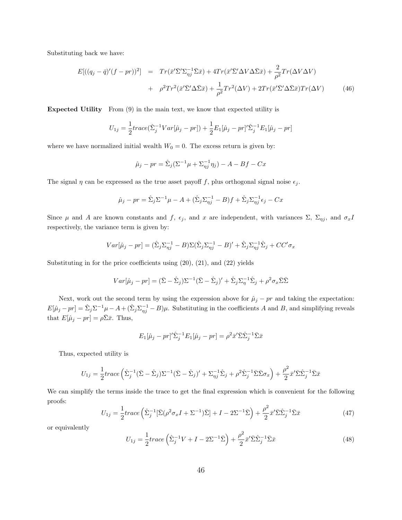Substituting back we have:

$$
E[((q_j - \bar{q})'(f - pr))^2] = Tr(\bar{x}'\bar{\Sigma}'\Sigma_{\eta j}^{-1}\bar{\Sigma}\bar{x}) + 4Tr(\bar{x}'\bar{\Sigma}'\Delta V\Delta\bar{\Sigma}\bar{x}) + \frac{2}{\rho^2}Tr(\Delta V\Delta V) + \rho^2 Tr^2(\bar{x}'\bar{\Sigma}'\Delta\bar{\Sigma}\bar{x}) + \frac{1}{\rho^2}Tr^2(\Delta V) + 2Tr(\bar{x}'\bar{\Sigma}'\Delta\bar{\Sigma}\bar{x})Tr(\Delta V)
$$
(46)

**Expected Utility** From (9) in the main text, we know that expected utility is

$$
U_{1j} = \frac{1}{2}trace(\hat{\Sigma}_j^{-1}Var[\hat{\mu}_j - pr]) + \frac{1}{2}E_1[\hat{\mu}_j - pr]'\hat{\Sigma}_j^{-1}E_1[\hat{\mu}_j - pr]
$$

where we have normalized initial wealth  $W_0 = 0$ . The excess return is given by:

$$
\hat{\mu}_j - pr = \hat{\Sigma}_j (\Sigma^{-1} \mu + \Sigma_{\eta j}^{-1} \eta_j) - A - Bf - Cx
$$

The signal *η* can be expressed as the true asset payoff *f*, plus orthogonal signal noise  $\epsilon_i$ .

$$
\hat{\mu}_j - pr = \hat{\Sigma}_j \Sigma^{-1} \mu - A + (\hat{\Sigma}_j \Sigma_{\eta j}^{-1} - B)f + \hat{\Sigma}_j \Sigma_{\eta j}^{-1} \epsilon_j - Cx
$$

Since  $\mu$  and *A* are known constants and *f*,  $\epsilon_j$ , and *x* are independent, with variances  $\Sigma$ ,  $\Sigma_{\eta j}$ , and  $\sigma_x I$ respectively, the variance term is given by:

$$
Var[\hat{\mu}_j - pr] = (\hat{\Sigma}_j \Sigma_{\eta j}^{-1} - B) \Sigma (\hat{\Sigma}_j \Sigma_{\eta j}^{-1} - B)' + \hat{\Sigma}_j \Sigma_{\eta j}^{-1} \hat{\Sigma}_j + CC' \sigma_x
$$

Substituting in for the price coefficients using  $(20)$ ,  $(21)$ , and  $(22)$  yields

$$
Var[\hat{\mu}_j - pr] = (\bar{\Sigma} - \hat{\Sigma}_j) \Sigma^{-1} (\bar{\Sigma} - \hat{\Sigma}_j)' + \hat{\Sigma}_j \Sigma_j^{-1} \hat{\Sigma}_j + \rho^2 \sigma_x \bar{\Sigma} \bar{\Sigma}
$$

Next, work out the second term by using the expression above for  $\hat{\mu}_j - pr$  and taking the expectation:  $E[\hat{\mu}_j - pr] = \hat{\Sigma}_j \Sigma^{-1} \mu - A + (\hat{\Sigma}_j \Sigma_{nj}^{-1} - B)\mu$ . Substituting in the coefficients A and B, and simplifying reveals that  $E[\hat{\mu}_j - pr] = \rho \bar{\Sigma} \bar{x}$ . Thus,

$$
E_1[\hat{\mu}_j - pr]' \hat{\Sigma}_j^{-1} E_1[\hat{\mu}_j - pr] = \rho^2 \bar{x}' \bar{\Sigma} \hat{\Sigma}_j^{-1} \bar{\Sigma} \bar{x}
$$

Thus, expected utility is

$$
U_{1j} = \frac{1}{2}trace\left(\hat{\Sigma}_j^{-1}(\bar{\Sigma} - \hat{\Sigma}_j)\Sigma^{-1}(\bar{\Sigma} - \hat{\Sigma}_j)' + \Sigma_{\eta j}^{-1}\hat{\Sigma}_j + \rho^2\hat{\Sigma}_j^{-1}\bar{\Sigma}\bar{\Sigma}\sigma_x\right) + \frac{\rho^2}{2}\bar{x}'\bar{\Sigma}\hat{\Sigma}_j^{-1}\bar{\Sigma}\bar{x}
$$

We can simplify the terms inside the trace to get the final expression which is convenient for the following proofs:

$$
U_{1j} = \frac{1}{2}trace\left(\hat{\Sigma}_j^{-1}[\bar{\Sigma}(\rho^2\sigma_x I + \Sigma^{-1})\bar{\Sigma}] + I - 2\Sigma^{-1}\bar{\Sigma}\right) + \frac{\rho^2}{2}\bar{x}'\bar{\Sigma}\hat{\Sigma}_j^{-1}\bar{\Sigma}\bar{x}
$$
(47)

or equivalently

$$
U_{1j} = \frac{1}{2}trace\left(\hat{\Sigma}_{j}^{-1}V + I - 2\Sigma^{-1}\bar{\Sigma}\right) + \frac{\rho^{2}}{2}\bar{x}'\bar{\Sigma}\hat{\Sigma}_{j}^{-1}\bar{\Sigma}\bar{x}
$$
\n(48)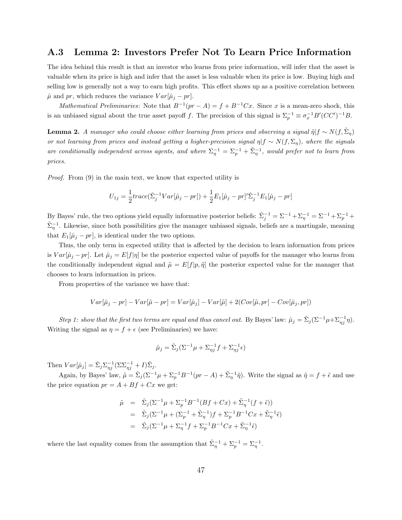### **A.3 Lemma 2: Investors Prefer Not To Learn Price Information**

The idea behind this result is that an investor who learns from price information, will infer that the asset is valuable when its price is high and infer that the asset is less valuable when its price is low. Buying high and selling low is generally not a way to earn high profits. This effect shows up as a positive correlation between  $\hat{\mu}$  and *pr*, which reduces the variance  $Var[\hat{\mu}_j - pr]$ .

*Mathematical Preliminaries*: Note that  $B^{-1}(pr - A) = f + B^{-1}Cx$ . Since *x* is a mean-zero shock, this is an unbiased signal about the true asset payoff *f*. The precision of this signal is  $\Sigma_p^{-1} \equiv \sigma_x^{-1} B'(CC')^{-1} B$ .

**Lemma 2.** *A manager who could choose either learning from prices and observing a signal*  $\tilde{\eta}$ | $f \sim N(f, \tilde{\Sigma}_{\eta})$ *or not learning from prices and instead getting a higher-precision signal*  $\eta$ |*f*  $\sim N(f, \Sigma_{\eta})$ *, where the signals are conditionally independent across agents, and where*  $\Sigma_{\eta}^{-1} = \Sigma_{p}^{-1} + \tilde{\Sigma}_{\eta}^{-1}$ , would prefer not to learn from *prices.*

*Proof.* From (9) in the main text, we know that expected utility is

$$
U_{1j} = \frac{1}{2}trace(\hat{\Sigma}_j^{-1}Var[\hat{\mu}_j - pr]) + \frac{1}{2}E_1[\hat{\mu}_j - pr]'\hat{\Sigma}_j^{-1}E_1[\hat{\mu}_j - pr]
$$

By Bayes' rule, the two options yield equally informative posterior beliefs:  $\hat{\Sigma}_j^{-1} = \Sigma^{-1} + \Sigma_{\eta}^{-1} = \Sigma^{-1} + \Sigma_p^{-1} + \Sigma_p^{-1}$  $\tilde{\Sigma}_{\eta}^{-1}$ . Likewise, since both possibilities give the manager unbiased signals, beliefs are a martingale, meaning that  $E_1[\hat{\mu}_j - pr]$ , is identical under the two options.

Thus, the only term in expected utility that is affected by the decision to learn information from prices is  $Var[\hat{\mu}_j - pr]$ . Let  $\hat{\mu}_j = E[f|\eta]$  be the posterior expected value of payoffs for the manager who learns from the conditionally independent signal and  $\tilde{\mu} = E[f|\tilde{p}, \tilde{\eta}]$  the posterior expected value for the manager that chooses to learn information in prices.

From properties of the variance we have that:

$$
Var[\hat{\mu}_j - pr] - Var[\tilde{\mu} - pr] = Var[\hat{\mu}_j] - Var[\tilde{\mu}] + 2(Cov[\tilde{\mu}, pr] - Cov[\hat{\mu}_j, pr])
$$

*Step 1: show that the first two terms are equal and thus cancel out.* By Bayes' law:  $\hat{\mu}_j = \hat{\Sigma}_j (\Sigma^{-1} \mu + \Sigma^{-1}_{\eta j} \eta)$ . Writing the signal as  $\eta = f + \epsilon$  (see Preliminaries) we have:

$$
\hat{\mu}_j = \hat{\Sigma}_j (\Sigma^{-1} \mu + \Sigma^{-1}_{\eta j} f + \Sigma^{-1}_{\eta j} \epsilon)
$$

Then  $Var[\hat{\mu}_j] = \hat{\Sigma}_j \Sigma_{\eta j}^{-1} (\Sigma \Sigma_{\eta j}^{-1} + I) \hat{\Sigma}_j$ .

Again, by Bayes' law,  $\tilde{\mu} = \hat{\Sigma}_j (\Sigma^{-1} \mu + \Sigma_p^{-1} B^{-1} (pr - A) + \tilde{\Sigma}_\eta^{-1} \tilde{\eta}).$  Write the signal as  $\tilde{\eta} = f + \tilde{\epsilon}$  and use the price equation  $pr = A + Bf + Cx$  we get:

$$
\tilde{\mu} = \hat{\Sigma}_j (\Sigma^{-1} \mu + \Sigma_p^{-1} B^{-1} (Bf + Cx) + \tilde{\Sigma}_\eta^{-1} (f + \tilde{\epsilon})) \n= \hat{\Sigma}_j (\Sigma^{-1} \mu + (\Sigma_p^{-1} + \tilde{\Sigma}_\eta^{-1}) f + \Sigma_p^{-1} B^{-1} Cx + \tilde{\Sigma}_\eta^{-1} \tilde{\epsilon}) \n= \hat{\Sigma}_j (\Sigma^{-1} \mu + \Sigma_\eta^{-1} f + \Sigma_p^{-1} B^{-1} Cx + \tilde{\Sigma}_\eta^{-1} \tilde{\epsilon})
$$

where the last equality comes from the assumption that  $\tilde{\Sigma}_{\eta}^{-1} + \Sigma_{p}^{-1} = \Sigma_{\eta}^{-1}$ .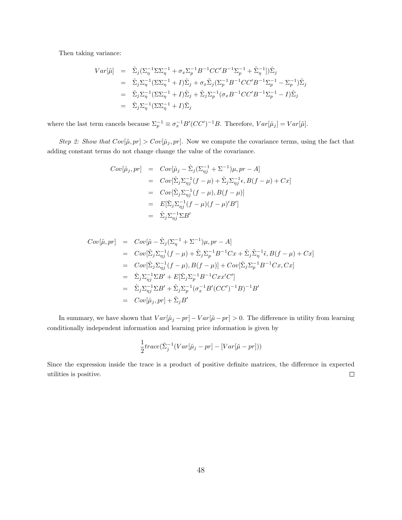Then taking variance:

$$
Var[\tilde{\mu}] = \hat{\Sigma}_j (\Sigma_{\eta}^{-1} \Sigma \Sigma_{\eta}^{-1} + \sigma_x \Sigma_p^{-1} B^{-1} C C' B^{-1} \Sigma_p^{-1} + \tilde{\Sigma}_{\eta}^{-1}] ) \hat{\Sigma}_j
$$
  
\n
$$
= \hat{\Sigma}_j \Sigma_{\eta}^{-1} (\Sigma \Sigma_{\eta}^{-1} + I) \hat{\Sigma}_j + \sigma_x \hat{\Sigma}_j (\Sigma_p^{-1} B^{-1} C C' B^{-1} \Sigma_p^{-1} - \Sigma_p^{-1}) \hat{\Sigma}_j
$$
  
\n
$$
= \hat{\Sigma}_j \Sigma_{\eta}^{-1} (\Sigma \Sigma_{\eta}^{-1} + I) \hat{\Sigma}_j + \hat{\Sigma}_j \Sigma_p^{-1} (\sigma_x B^{-1} C C' B^{-1} \Sigma_p^{-1} - I) \hat{\Sigma}_j
$$
  
\n
$$
= \hat{\Sigma}_j \Sigma_{\eta}^{-1} (\Sigma \Sigma_{\eta}^{-1} + I) \hat{\Sigma}_j
$$

where the last term cancels because  $\Sigma_p^{-1} \equiv \sigma_x^{-1} B' (CC')^{-1} B$ . Therefore,  $Var[\hat{\mu}_j] = Var[\tilde{\mu}]$ .

*Step 2: Show that*  $Cov[\tilde{\mu}, pr] > Cov[\hat{\mu}_j, pr]$ . Now we compute the covariance terms, using the fact that adding constant terms do not change change the value of the covariance.

$$
Cov[\hat{\mu}_j, pr] = Cov[\hat{\mu}_j - \hat{\Sigma}_j(\Sigma_{nj}^{-1} + \Sigma^{-1})\mu, pr - A]
$$
  
\n
$$
= Cov[\hat{\Sigma}_j \Sigma_{nj}^{-1}(f - \mu) + \hat{\Sigma}_j \Sigma_{nj}^{-1} \epsilon, B(f - \mu) + Cx]
$$
  
\n
$$
= Cov[\hat{\Sigma}_j \Sigma_{nj}^{-1}(f - \mu), B(f - \mu)]
$$
  
\n
$$
= E[\hat{\Sigma}_j \Sigma_{nj}^{-1}(f - \mu)(f - \mu)'B']
$$
  
\n
$$
= \hat{\Sigma}_j \Sigma_{nj}^{-1} \Sigma B'
$$

$$
Cov[\tilde{\mu}, pr] = Cov[\tilde{\mu} - \hat{\Sigma}_j(\Sigma_{\eta}^{-1} + \Sigma^{-1})\mu, pr - A]
$$
  
\n
$$
= Cov[\hat{\Sigma}_j \Sigma_{\eta j}^{-1} (f - \mu) + \hat{\Sigma}_j \Sigma_p^{-1} B^{-1} C x + \hat{\Sigma}_j \tilde{\Sigma}_\eta^{-1} \tilde{\epsilon}, B(f - \mu) + C x]
$$
  
\n
$$
= Cov[\hat{\Sigma}_j \Sigma_{\eta j}^{-1} (f - \mu), B(f - \mu)] + Cov[\hat{\Sigma}_j \Sigma_p^{-1} B^{-1} C x, C x]
$$
  
\n
$$
= \hat{\Sigma}_j \Sigma_{\eta j}^{-1} \Sigma B' + E[\hat{\Sigma}_j \Sigma_p^{-1} B^{-1} C x x' C']
$$
  
\n
$$
= \hat{\Sigma}_j \Sigma_{\eta j}^{-1} \Sigma B' + \hat{\Sigma}_j \Sigma_p^{-1} (\sigma_x^{-1} B'(CC')^{-1} B)^{-1} B'
$$
  
\n
$$
= Cov[\hat{\mu}_j, pr] + \hat{\Sigma}_j B'
$$

In summary, we have shown that  $Var[\hat{\mu}_j - pr] - Var[\tilde{\mu} - pr] > 0$ . The difference in utility from learning conditionally independent information and learning price information is given by

$$
\frac{1}{2} trace(\hat{\Sigma}_j^{-1}(Var[\hat{\mu}_j-pr] - [Var[\tilde{\mu} - pr]))
$$

Since the expression inside the trace is a product of positive definite matrices, the difference in expected utilities is positive.  $\Box$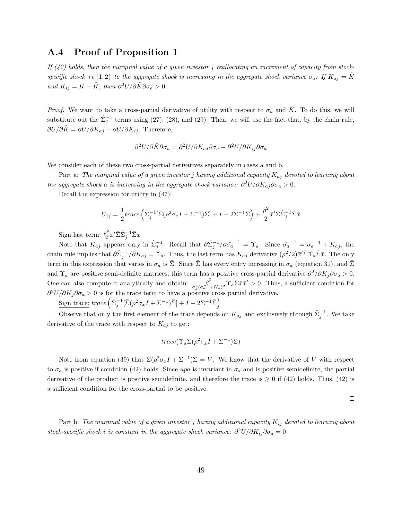### **A.4 Proof of Proposition 1**

*If (42) holds, then the marginal value of a given investor j reallocating an increment of capacity from stockspecific shock*  $i \in \{1,2\}$  *to the aggregate shock is increasing in the aggregate shock variance*  $\sigma_a$ *: If*  $K_{aj} = \tilde{K}$  $and K_{ij} = K - \tilde{K}$ , then  $\partial^2 U / \partial \tilde{K} \partial \sigma_a > 0$ .

*Proof.* We want to take a cross-partial derivative of utility with respect to  $\sigma_a$  and  $\tilde{K}$ . To do this, we will substitute out the  $\hat{\Sigma}_j^{-1}$  terms using (27), (28), and (29). Then, we will use the fact that, by the chain rule,  $\partial U/\partial \tilde{K} = \partial U/\partial K_{aj} - \partial U/\partial K_{ij}$ . Therefore,

$$
\partial^2 U / \partial \tilde{K} \partial \sigma_a = \partial^2 U / \partial K_{aj} \partial \sigma_a - \partial^2 U / \partial K_{ij} \partial \sigma_a
$$

We consider each of these two cross-partial derivatives separately in cases a and b.

Part a: *The marginal value of a given investor j having additional capacity Kaj devoted to learning about the aggregate shock a is increasing in the aggregate shock variance:*  $\partial^2 U/\partial K_{aj}\partial \sigma_a > 0$ .

Recall the expression for utility in (47):

$$
U_{1j} = \frac{1}{2}trace\left(\hat{\Sigma}_j^{-1}[\bar{\Sigma}(\rho^2\sigma_x I + \Sigma^{-1})\bar{\Sigma}] + I - 2\Sigma^{-1}\bar{\Sigma}\right) + \frac{\rho^2}{2}\bar{x}'\bar{\Sigma}\hat{\Sigma}_j^{-1}\bar{\Sigma}\bar{x}
$$

Sign last term:  $\frac{\rho^2}{2}$  $\frac{\partial^2}{2} \bar{x}^{\prime} \bar{\Sigma} \hat{\Sigma}_j^{-1} \bar{\Sigma} \bar{x}$ 

Note that  $K_{aj}$  appears only in  $\hat{\Sigma}_{j}^{-1}$ . Recall that  $\partial \hat{\Sigma}_{j}^{-1}/\partial \hat{\sigma_a}^{-1} = \Upsilon_a$ . Since  $\hat{\sigma_a}^{-1} = \sigma_a^{-1} + K_{aj}$ , the chain rule implies that  $\partial \hat{\Sigma}_j^{-1} / \partial K_{aj} = \Upsilon_a$ . Thus, the last term has  $K_{aj}$  derivative  $(\rho^2/2) \bar{x}^{\prime} \bar{\Sigma} \Upsilon_a \bar{\Sigma} \bar{x}$ . The only term in this expression that varies in  $\sigma_a$  is  $\bar{\Sigma}$ . Since  $\bar{\Sigma}$  has every entry increasing in  $\sigma_a$  (equation 31), and  $\bar{\Sigma}$ and  $\Upsilon_a$  are positive semi-definite matrices, this term has a positive cross-partial derivative  $\frac{\partial^2}{\partial K_j \partial \sigma_a} > 0$ . One can also compute it analytically and obtain:  $\frac{\rho^2}{2(1-\rho^2)}$  $\frac{\rho^2}{\sigma_a^2(\sigma_a^{-1}+\bar{K}_a)^2}$   $\Upsilon_a\bar{\Sigma}\bar{x}\bar{x}' > 0$ . Thus, a sufficient condition for  $\partial^2 U/\partial K_j \partial \sigma_a > 0$  is for the trace term to have a positive cross partial derivative.

 $\frac{\text{Sign trace: } trace(\hat{\Sigma}_{j}^{-1}[\bar{\Sigma}(\rho^{2}\sigma_{x}I + \Sigma^{-1})\bar{\Sigma}] + I - 2\Sigma^{-1}\bar{\Sigma})$ 

Observe that only the first element of the trace depends on  $K_{aj}$  and exclusively through  $\hat{\Sigma}_{j}^{-1}$ . We take derivative of the trace with respect to  $K_{aj}$  to get:

$$
trace(\Upsilon_a\bar{\Sigma}(\rho^2\sigma_x I + \Sigma^{-1})\bar{\Sigma})
$$

Note from equation (39) that  $\bar{\Sigma}(\rho^2 \sigma_x I + \Sigma^{-1})\bar{\Sigma} = V$ . We know that the derivative of *V* with respect to  $\sigma_a$  is positive if condition (42) holds. Since *upa* is invariant in  $\sigma_a$  and is positive semidefinite, the partial derivative of the product is positive semidefinite, and therefore the trace is  $\geq 0$  if (42) holds. Thus, (42) is a sufficient condition for the cross-partial to be positive.

 $\Box$ 

Part b: *The marginal value of a given investor j having additional capacity Kij devoted to learning about stock-specific shock i is constant in the aggregate shock variance:*  $\partial^2 U/\partial K_{ij}\partial \sigma_a = 0$ .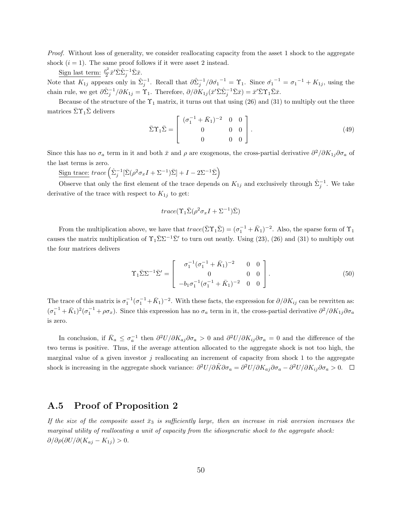*Proof.* Without loss of generality, we consider reallocating capacity from the asset 1 shock to the aggregate shock  $(i = 1)$ . The same proof follows if it were asset 2 instead.

Sign last term:  $\frac{\rho^2}{2}$  $\frac{\partial^2}{\partial x^2} \bar{x}' \bar{\Sigma} \hat{\Sigma}_j^{-1} \bar{\Sigma} \bar{x}.$ 

Note that  $K_{1j}$  appears only in  $\hat{\Sigma}_{j}^{-1}$ . Recall that  $\partial \hat{\Sigma}_{j}^{-1} / \partial \hat{\sigma_{1}}^{-1} = \Upsilon_{1}$ . Since  $\hat{\sigma_{1}}^{-1} = \sigma_{1}^{-1} + K_{1j}$ , using the chain rule, we get  $\partial \hat{\Sigma}_j^{-1} / \partial K_{1j} = \Upsilon_1$ . Therefore,  $\partial / \partial K_{1j} (\bar{x}^{\prime} \bar{\Sigma} \hat{\Sigma}_j^{-1} \bar{\Sigma} \bar{x}) = \bar{x}^{\prime} \bar{\Sigma} \Upsilon_1 \bar{\Sigma} \bar{x}$ .

Because of the structure of the  $\Upsilon_1$  matrix, it turns out that using (26) and (31) to multiply out the three matrices  $\bar{\Sigma}\Upsilon_1\bar{\Sigma}$  delivers

$$
\bar{\Sigma}\Upsilon_1\bar{\Sigma} = \begin{bmatrix} (\sigma_1^{-1} + \bar{K}_1)^{-2} & 0 & 0 \\ 0 & 0 & 0 \\ 0 & 0 & 0 \end{bmatrix} . \tag{49}
$$

Since this has no  $\sigma_a$  term in it and both  $\bar{x}$  and  $\rho$  are exogenous, the cross-partial derivative  $\partial^2/\partial K_{1j}\partial \sigma_a$  of the last terms is zero.

 $\text{Sign trace: } trace\left(\hat{\Sigma}_{j}^{-1}[\bar{\Sigma}(\rho^{2}\sigma_{x}I + \Sigma^{-1})\bar{\Sigma}] + I - 2\Sigma^{-1}\bar{\Sigma}\right)$ 

Observe that only the first element of the trace depends on  $K_{1j}$  and exclusively through  $\hat{\Sigma}_j^{-1}$ . We take derivative of the trace with respect to  $K_{1j}$  to get:

$$
trace(\Upsilon_1\bar{\Sigma}(\rho^2\sigma_x I + \Sigma^{-1})\bar{\Sigma})
$$

From the multiplication above, we have that  $trace(\bar{\Sigma}\Upsilon_1\bar{\Sigma}) = (\sigma_1^{-1} + \bar{K}_1)^{-2}$ . Also, the sparse form of  $\Upsilon_1$ causes the matrix multiplication of  $\Upsilon_1 \overline{\Sigma} \Sigma^{-1} \overline{\Sigma}'$  to turn out neatly. Using (23), (26) and (31) to multiply out the four matrices delivers

$$
\Upsilon_1 \bar{\Sigma} \Sigma^{-1} \bar{\Sigma}' = \begin{bmatrix} \sigma_1^{-1} (\sigma_1^{-1} + \bar{K}_1)^{-2} & 0 & 0 \\ 0 & 0 & 0 \\ -b_1 \sigma_1^{-1} (\sigma_1^{-1} + \bar{K}_1)^{-2} & 0 & 0 \end{bmatrix} . \tag{50}
$$

The trace of this matrix is  $\sigma_1^{-1}(\sigma_1^{-1} + \bar{K}_1)^{-2}$ . With these facts, the expression for  $\partial/\partial K_{ij}$  can be rewritten as:  $(\sigma_1^{-1} + \bar{K}_1)^2(\sigma_1^{-1} + \rho \sigma_x)$ . Since this expression has no  $\sigma_a$  term in it, the cross-partial derivative  $\partial^2/\partial K_{1j}\partial \sigma_a$ is zero.

In conclusion, if  $\bar{K}_a \leq \sigma_a^{-1}$  then  $\partial^2 U/\partial K_{aj}\partial \sigma_a > 0$  and  $\partial^2 U/\partial K_{ij}\partial \sigma_a = 0$  and the difference of the two terms is positive. Thus, if the average attention allocated to the aggregate shock is not too high, the marginal value of a given investor  $j$  reallocating an increment of capacity from shock 1 to the aggregate shock is increasing in the aggregate shock variance:  $\partial^2 U/\partial \tilde{K} \partial \sigma_a = \partial^2 U/\partial K_{aj} \partial \sigma_a - \partial^2 U/\partial K_{ij} \partial \sigma_a > 0$ .

### **A.5 Proof of Proposition 2**

*If the size of the composite asset*  $\bar{x}_3$  *is sufficiently large, then an increase in risk aversion increases the marginal utility of reallocating a unit of capacity from the idiosyncratic shock to the aggregate shock:*  $\partial/\partial \rho (\partial U/\partial (K_{aj} - K_{1j}) > 0.$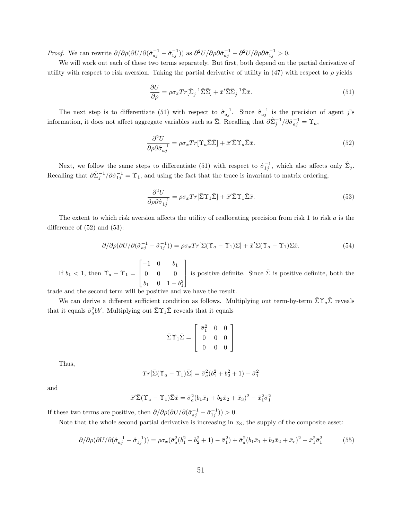*Proof.* We can rewrite  $\partial/\partial \rho (\partial U/\partial (\hat{\sigma}_{aj}^{-1} - \hat{\sigma}_{1j}^{-1}))$  as  $\partial^2 U/\partial \rho \partial \hat{\sigma}_{aj}^{-1} - \partial^2 U/\partial \rho \partial \hat{\sigma}_{1j}^{-1} > 0$ .

We will work out each of these two terms separately. But first, both depend on the partial derivative of utility with respect to risk aversion. Taking the partial derivative of utility in  $(47)$  with respect to  $\rho$  yields

$$
\frac{\partial U}{\partial \rho} = \rho \sigma_x Tr[\hat{\Sigma}_j^{-1} \bar{\Sigma} \bar{\Sigma}] + \bar{x}' \bar{\Sigma} \hat{\Sigma}_j^{-1} \bar{\Sigma} \bar{x}.
$$
\n(51)

The next step is to differentiate (51) with respect to  $\hat{\sigma}_{aj}^{-1}$ . Since  $\hat{\sigma}_{aj}^{-1}$  is the precision of agent *j*'s information, it does not affect aggregate variables such as  $\bar{\Sigma}$ . Recalling that  $\partial \hat{\Sigma}_j^{-1}/\partial \hat{\sigma}_{aj}^{-1} = \Upsilon_a$ ,

$$
\frac{\partial^2 U}{\partial \rho \partial \hat{\sigma}_{aj}^{-1}} = \rho \sigma_x Tr[\Upsilon_a \bar{\Sigma} \bar{\Sigma}] + \bar{x}' \bar{\Sigma} \Upsilon_a \bar{\Sigma} \bar{x}.
$$
\n(52)

Next, we follow the same steps to differentiate (51) with respect to  $\hat{\sigma}_{1j}^{-1}$ , which also affects only  $\hat{\Sigma}_j$ . Recalling that  $\partial \hat{\Sigma}_j^{-1} / \partial \hat{\sigma}_{1j}^{-1} = \Upsilon_1$ , and using the fact that the trace is invariant to matrix ordering,

$$
\frac{\partial^2 U}{\partial \rho \partial \hat{\sigma}_{1j}^{-1}} = \rho \sigma_x Tr[\bar{\Sigma} \Upsilon_1 \bar{\Sigma}] + \bar{x}' \bar{\Sigma} \Upsilon_1 \bar{\Sigma} \bar{x}.
$$
\n(53)

The extent to which risk aversion affects the utility of reallocating precision from risk 1 to risk *a* is the difference of  $(52)$  and  $(53)$ :

$$
\partial/\partial \rho (\partial U/\partial (\hat{\sigma}_{aj}^{-1} - \hat{\sigma}_{1j}^{-1})) = \rho \sigma_x Tr[\bar{\Sigma} (\Upsilon_a - \Upsilon_1) \bar{\Sigma}] + \bar{x}' \bar{\Sigma} (\Upsilon_a - \Upsilon_1) \bar{\Sigma} \bar{x}.
$$
\n(54)

If  $b_1 < 1$ , then  $\Upsilon_a - \Upsilon_1 =$  $\sqrt{ }$  $\overline{\phantom{a}}$ *−*1 0 *b*<sup>1</sup> 0 0 0  $b_1$  0 1 −  $b_1^2$ 1 is positive definite. Since  $\bar{\Sigma}$  is positive definite, both the

trade and the second term will be positive and we have the result.

We can derive a different sufficient condition as follows. Multiplying out term-by-term  $\bar{\Sigma}\Upsilon_a\bar{\Sigma}$  reveals that it equals  $\bar{\sigma}_a^2 bb'$ . Multiplying out  $\bar{\Sigma} \Upsilon_1 \bar{\Sigma}$  reveals that it equals

$$
\bar{\Sigma}\Upsilon_1\bar{\Sigma} = \left[\begin{array}{ccc} \bar{\sigma}_1^2 & 0 & 0 \\ 0 & 0 & 0 \\ 0 & 0 & 0 \end{array}\right]
$$

Thus,

$$
Tr[\bar{\Sigma}(\Upsilon_a - \Upsilon_1)\bar{\Sigma}] = \bar{\sigma}_a^2(b_1^2 + b_2^2 + 1) - \bar{\sigma}_1^2
$$

and

$$
\bar{x}'\bar{\Sigma}(\Upsilon_a - \Upsilon_1)\bar{\Sigma}\bar{x} = \bar{\sigma}_a^2(b_1\bar{x}_1 + b_2\bar{x}_2 + \bar{x}_3)^2 - \bar{x}_1^2\bar{\sigma}_1^2
$$

If these two terms are positive, then  $\partial/\partial \rho (\partial U/\partial (\hat{\sigma}_{aj}^{-1} - \hat{\sigma}_{1j}^{-1})) > 0$ .

Note that the whole second partial derivative is increasing in *x*3, the supply of the composite asset:

$$
\partial/\partial \rho (\partial U/\partial (\hat{\sigma}_{aj}^{-1} - \hat{\sigma}_{1j}^{-1})) = \rho \sigma_x (\bar{\sigma}_a^2 (b_1^2 + b_2^2 + 1) - \bar{\sigma}_1^2) + \bar{\sigma}_a^2 (b_1 \bar{x}_1 + b_2 \bar{x}_2 + \bar{x}_c)^2 - \bar{x}_1^2 \bar{\sigma}_1^2 \tag{55}
$$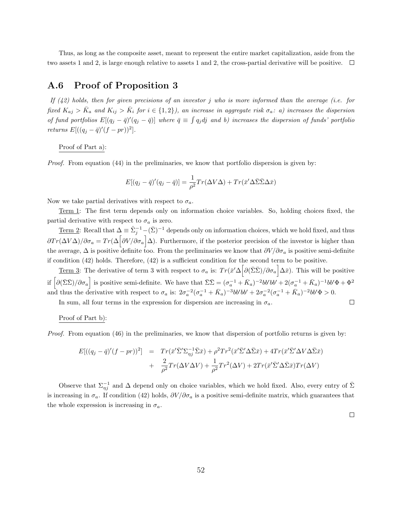Thus, as long as the composite asset, meant to represent the entire market capitalization, aside from the two assets 1 and 2, is large enough relative to assets 1 and 2, the cross-partial derivative will be positive.  $\square$ 

### **A.6 Proof of Proposition 3**

*If (42) holds, then for given precisions of an investor j who is more informed than the average (i.e. for* fixed  $K_{aj} > \bar{K}_a$  and  $K_{ij} > \bar{K}_i$  for  $i \in \{1,2\}$ ), an increase in aggregate risk  $\sigma_a$ : a) increases the dispersion of fund portfolios  $E[(q_j - \bar{q})'(q_j - \bar{q})]$  where  $\bar{q} \equiv \int q_j \, dj$  and b) increases the dispersion of funds' portfolio *returns*  $E[((q_j - \bar{q})'(f - pr))^2].$ 

Proof of Part a):

*Proof.* From equation (44) in the preliminaries, we know that portfolio dispersion is given by:

$$
E[(q_j - \bar{q})'(q_j - \bar{q})] = \frac{1}{\rho^2}Tr(\Delta V \Delta) + Tr(\bar{x}' \Delta \bar{\Sigma} \bar{\Sigma} \Delta \bar{x})
$$

Now we take partial derivatives with respect to  $\sigma_a$ .

Term 1: The first term depends only on information choice variables. So, holding choices fixed, the partial derivative with respect to  $\sigma_a$  is zero.

Term 2: Recall that  $\Delta \equiv \hat{\Sigma}_j^{-1} - (\bar{\Sigma})^{-1}$  depends only on information choices, which we hold fixed, and thus  $\partial Tr(\Delta V \Delta)/\partial \sigma_a = Tr(\Delta \left[ \partial V / \partial \sigma_a \right] \Delta)$ . Furthermore, if the posterior precision of the investor is higher than the average,  $\Delta$  is positive definite too. From the preliminaries we know that  $\frac{\partial V}{\partial \sigma_a}$  is positive semi-definite if condition (42) holds. Therefore, (42) is a sufficient condition for the second term to be positive.

Term 3: The derivative of term 3 with respect to  $\sigma_a$  is:  $Tr(\bar{x}' \Delta \left[ \partial(\bar{\Sigma} \bar{\Sigma}) / \partial \sigma_a \right] \Delta \bar{x})$ . This will be positive if  $\left[\partial(\bar{\Sigma}\bar{\Sigma})/\partial\sigma_a\right]$  is positive semi-definite. We have that  $\bar{\Sigma}\bar{\Sigma} = (\sigma_a^{-1} + \bar{K}_a)^{-2}b\bar{b}^{\prime}b\bar{b}^{\prime} + 2(\sigma_a^{-1} + \bar{K}_a)^{-1}b\bar{b}^{\prime}\Phi + \Phi^2$ and thus the derivative with respect to  $\sigma_a$  is:  $2\sigma_a^{-2}(\sigma_a^{-1}+\bar{K}_a)^{-3}bb'_{\varepsilon}$   $b^{\prime}b^{\prime}+2\sigma_a^{-2}(\sigma_a^{-1}+\bar{K}_a)^{-2}b^{\prime}\Phi>0$ .  $\Box$ 

In sum, all four terms in the expression for dispersion are increasing in  $\sigma_a$ .

#### Proof of Part b):

*Proof.* From equation (46) in the preliminaries, we know that dispersion of portfolio returns is given by:

$$
E[((q_j - \bar{q})'(f - pr))^2] = Tr(\bar{x}'\bar{\Sigma}'\Sigma_{\eta j}^{-1}\bar{\Sigma}\bar{x}) + \rho^2 Tr^2(\bar{x}'\bar{\Sigma}'\Delta\bar{\Sigma}\bar{x}) + 4Tr(\bar{x}'\bar{\Sigma}'\Delta V\Delta\bar{\Sigma}\bar{x})
$$
  
+ 
$$
\frac{2}{\rho^2}Tr(\Delta V\Delta V) + \frac{1}{\rho^2}Tr^2(\Delta V) + 2Tr(\bar{x}'\bar{\Sigma}'\Delta\bar{\Sigma}\bar{x})Tr(\Delta V)
$$

Observe that  $\Sigma_{\eta j}^{-1}$  and  $\Delta$  depend only on choice variables, which we hold fixed. Also, every entry of  $\bar{\Sigma}$ is increasing in  $\sigma_a$ . If condition (42) holds,  $\partial V/\partial \sigma_a$  is a positive semi-definite matrix, which guarantees that the whole expression is increasing in  $\sigma_a$ .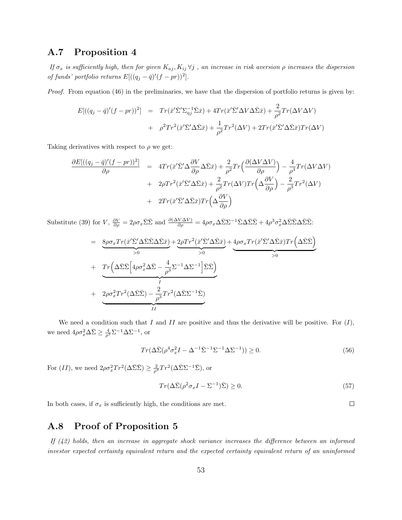### **A.7 Proposition 4**

*If*  $\sigma_x$  *is sufficiently high, then for given*  $K_{aj}$ ,  $K_{ij}$   $\forall j$ , *an increase in risk aversion ρ increases the dispersion of funds' portfolio returns*  $E[((q_j - \bar{q})'(f - pr))^2].$ 

*Proof.* From equation (46) in the preliminaries, we have that the dispersion of portfolio returns is given by:

$$
E[((q_j - \bar{q})'(f - pr))^2] = Tr(\bar{x}'\bar{\Sigma}'\Sigma_{\eta j}^{-1}\bar{\Sigma}\bar{x}) + 4Tr(\bar{x}'\bar{\Sigma}'\Delta V\Delta\bar{\Sigma}\bar{x}) + \frac{2}{\rho^2}Tr(\Delta V\Delta V) + \rho^2 Tr^2(\bar{x}'\bar{\Sigma}'\Delta\bar{\Sigma}\bar{x}) + \frac{1}{\rho^2}Tr^2(\Delta V) + 2Tr(\bar{x}'\bar{\Sigma}'\Delta\bar{\Sigma}\bar{x})Tr(\Delta V)
$$

Taking derivatives with respect to  $\rho$  we get:

$$
\frac{\partial E[((q_j - \bar{q})'(f - pr))^2]}{\partial \rho} = 4Tr(\bar{x}' \bar{\Sigma}' \Delta \frac{\partial V}{\partial \rho} \Delta \bar{\Sigma} \bar{x}) + \frac{2}{\rho^2} Tr(\frac{\partial (\Delta V \Delta V)}{\partial \rho}) - \frac{4}{\rho^3} Tr(\Delta V \Delta V) \n+ 2\rho Tr^2(\bar{x}' \bar{\Sigma}' \Delta \bar{\Sigma} \bar{x}) + \frac{2}{\rho^2} Tr(\Delta V) Tr(\Delta \frac{\partial V}{\partial \rho}) - \frac{2}{\rho^3} Tr^2(\Delta V) \n+ 2Tr(\bar{x}' \bar{\Sigma}' \Delta \bar{\Sigma} \bar{x}) Tr(\Delta \frac{\partial V}{\partial \rho})
$$

 $\frac{\partial \text{Substitute (39) for } V, \frac{\partial V}{\partial \rho}}{=} 2\rho \sigma_x \bar{\Sigma} \bar{\Sigma} \text{ and } \frac{\partial (\Delta V \Delta V)}{\partial \rho} = 4\rho \sigma_x \Delta \bar{\Sigma} \Sigma^{-1} \bar{\Sigma} \Delta \bar{\Sigma} \bar{\Sigma} + 4\rho^3 \sigma_x^2 \Delta \bar{\Sigma} \bar{\Sigma} \Delta \bar{\Sigma} \bar{\Sigma}.$ 

$$
= \underbrace{8\rho\sigma_x Tr(\bar{x}'\bar{\Sigma}'\Delta\bar{\Sigma}\bar{\Sigma}\Delta\bar{\Sigma}\bar{x})}_{>0} + \underbrace{2\rho Tr^2(\bar{x}'\bar{\Sigma}'\Delta\bar{\Sigma}\bar{x})}_{>0} + \underbrace{4\rho\sigma_x Tr(\bar{x}'\bar{\Sigma}'\Delta\bar{\Sigma}\bar{x})Tr(\Delta\bar{\Sigma}\bar{\Sigma})}_{>0}
$$
  
+ 
$$
\underbrace{Tr(\Delta\bar{\Sigma}\bar{\Sigma}\Big[4\rho\sigma_x^2\Delta\bar{\Sigma}-\frac{4}{\rho^3}\Sigma^{-1}\Delta\Sigma^{-1}\Big]\bar{\Sigma}\bar{\Sigma})}_{I} + \underbrace{2\rho\sigma_x^2 Tr^2(\Delta\bar{\Sigma}\bar{\Sigma}) - \frac{2}{\rho^3}Tr^2(\Delta\bar{\Sigma}\Sigma^{-1}\bar{\Sigma})}_{II}
$$

We need a condition such that  $I$  and  $II$  are positive and thus the derivative will be positive. For  $(I)$ , we need  $4\rho\sigma_x^2\Delta\bar{\Sigma} \geq \frac{4}{\rho^3}\Sigma^{-1}\Delta\Sigma^{-1}$ , or

$$
Tr(\Delta \bar{\Sigma}(\rho^4 \sigma_x^2 I - \Delta^{-1} \bar{\Sigma}^{-1} \Sigma^{-1} \Delta \Sigma^{-1})) \ge 0.
$$
\n
$$
(56)
$$

For  $(II)$ , we need  $2\rho \sigma_x^2 Tr^2(\Delta \bar{\Sigma} \bar{\Sigma}) \geq \frac{2}{\rho^3} Tr^2(\Delta \bar{\Sigma} \Sigma^{-1} \bar{\Sigma})$ , or

$$
Tr(\Delta \bar{\Sigma}(\rho^2 \sigma_x I - \Sigma^{-1}) \bar{\Sigma}) \ge 0. \tag{57}
$$

In both cases, if  $\sigma_x$  is sufficiently high, the conditions are met.

### **A.8 Proof of Proposition 5**

*If (42) holds, then an increase in aggregate shock variance increases the difference between an informed investor expected certainty equivalent return and the expected certainty equivalent return of an uninformed*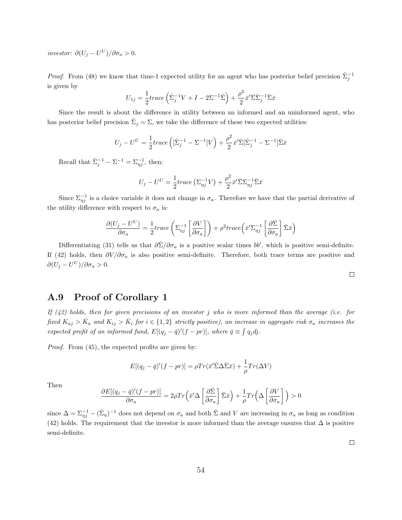$i$ *nvestor:*  $\partial(U_j - U^U)/\partial \sigma_a > 0$ .

*Proof.* From (48) we know that time-1 expected utility for an agent who has posterior belief precision  $\hat{\Sigma}_j^{-1}$ is given by

$$
U_{1j} = \frac{1}{2}trace\left(\hat{\Sigma}_j^{-1}V + I - 2\Sigma^{-1}\bar{\Sigma}\right) + \frac{\rho^2}{2}\bar{x}'\bar{\Sigma}\hat{\Sigma}_j^{-1}\bar{\Sigma}\bar{x}
$$

Since the result is about the difference in utility between an informed and an uninformed agent, who has posterior belief precision  $\hat{\Sigma}_j = \Sigma$ , we take the difference of these two expected utilities:

$$
U_j - U^U = \frac{1}{2}trace\left([\hat{\Sigma}_j^{-1} - \Sigma^{-1}]V\right) + \frac{\rho^2}{2}\bar{x}'\bar{\Sigma}[\hat{\Sigma}_j^{-1} - \Sigma^{-1}]\bar{\Sigma}\bar{x}
$$

Recall that  $\hat{\Sigma}_j^{-1} - \Sigma^{-1} = \Sigma_{\eta j}^{-1}$ , then:

$$
U_j - U^U = \frac{1}{2}trace\left(\Sigma_{\eta j}^{-1}V\right) + \frac{\rho^2}{2}\bar{x}'\bar{\Sigma}\Sigma_{\eta j}^{-1}\bar{\Sigma}\bar{x}
$$

Since  $\Sigma_{\eta j}^{-1}$  is a choice variable it does not change in  $\sigma_a$ . Therefore we have that the partial derivative of the utility difference with respect to  $\sigma_a$  is:

$$
\frac{\partial (U_j - U^U)}{\partial \sigma_a} = \frac{1}{2}trace\left(\Sigma_{\eta j}^{-1} \left[\frac{\partial V}{\partial \sigma_a}\right]\right) + \rho^2 trace\left(\bar{x}'\Sigma_{\eta j}^{-1} \left[\frac{\partial \bar{\Sigma}}{\partial \sigma_a}\right] \bar{\Sigma}\bar{x}\right)
$$

Differentiating (31) tells us that  $\partial \bar{\Sigma}/\partial \sigma_a$  is a positive scalar times *bb'*, which is positive semi-definite. If (42) holds, then *∂V /∂σ<sup>a</sup>* is also positive semi-definite. Therefore, both trace terms are positive and  $\partial(U_j - U^U)/\partial \sigma_a > 0.$ 

### **A.9 Proof of Corollary 1**

*If (42) holds, then for given precisions of an investor j who is more informed than the average (i.e. for* fixed  $K_{aj} > \bar{K}_a$  and  $K_{ij} > \bar{K}_i$  for  $i \in \{1,2\}$  strictly positive), an increase in aggregate risk  $\sigma_a$  increases the *expected profit of an informed fund,*  $E[(q_j - \bar{q})'(f - pr)]$ *, where*  $\bar{q} \equiv \int q_j d_j$ *.* 

*Proof.* From (45), the expected profits are given by:

$$
E[(q_j - \bar{q})'(f - pr)] = \rho Tr(\bar{x}' \bar{\Sigma} \Delta \bar{\Sigma} \bar{x}) + \frac{1}{\rho} Tr(\Delta V)
$$

Then

$$
\frac{\partial E[(q_j-\bar{q})'(f-pr)]}{\partial \sigma_a} = 2\rho Tr(\bar{x}'\Delta \left[\frac{\partial \bar{\Sigma}}{\partial \sigma_a}\right] \bar{\Sigma}\bar{x}) + \frac{1}{\rho} Tr\left(\Delta \left[\frac{\partial V}{\partial \sigma_a}\right]\right) > 0
$$

since  $\Delta = \sum_{\eta}^{-1} - (\bar{\Sigma}_{\eta})^{-1}$  does not depend on  $\sigma_a$  and both  $\bar{\Sigma}$  and V are increasing in  $\sigma_a$  as long as condition (42) holds. The requirement that the investor is more informed than the average ensures that  $\Delta$  is positive semi-definite.

 $\Box$